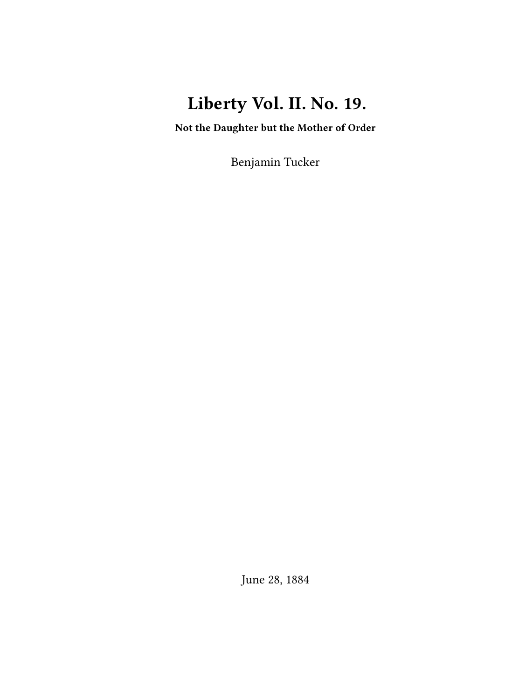# **Liberty Vol. II. No. 19.**

**Not the Daughter but the Mother of Order**

Benjamin Tucker

June 28, 1884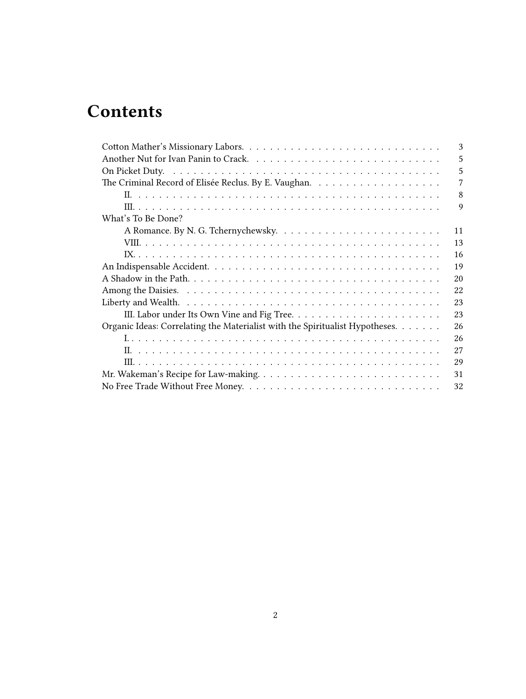# **Contents**

| 3                                                                                  |
|------------------------------------------------------------------------------------|
| 5                                                                                  |
| 5                                                                                  |
| 7                                                                                  |
| 8                                                                                  |
| 9                                                                                  |
| What's To Be Done?                                                                 |
| 11                                                                                 |
| 13                                                                                 |
| 16                                                                                 |
| 19                                                                                 |
| 20                                                                                 |
| 22                                                                                 |
| 23                                                                                 |
| 23                                                                                 |
| Organic Ideas: Correlating the Materialist with the Spiritualist Hypotheses.<br>26 |
| 26                                                                                 |
| 27                                                                                 |
| 29                                                                                 |
| 31                                                                                 |
| 32                                                                                 |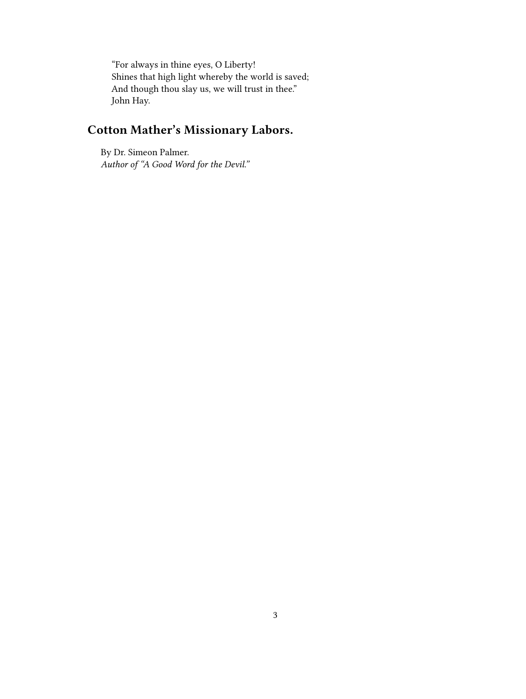"For always in thine eyes, O Liberty! Shines that high light whereby the world is saved; And though thou slay us, we will trust in thee." John Hay.

# <span id="page-2-0"></span>**Cotton Mather's Missionary Labors.**

By Dr. Simeon Palmer. *Author of "A Good Word for the Devil."*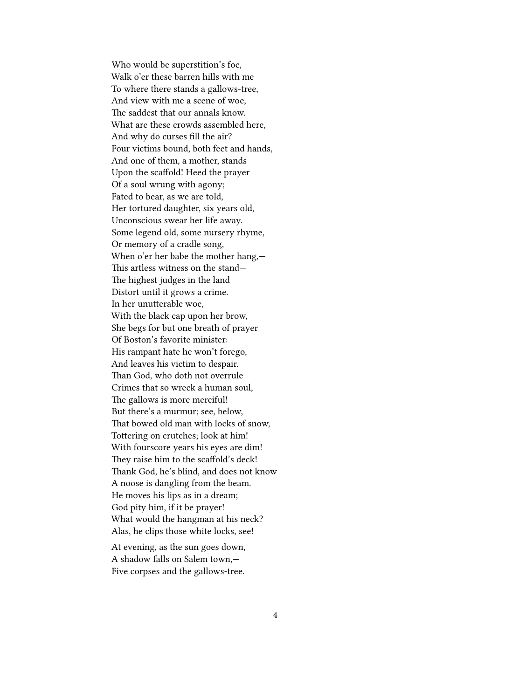Who would be superstition's foe, Walk o'er these barren hills with me To where there stands a gallows-tree, And view with me a scene of woe, The saddest that our annals know. What are these crowds assembled here, And why do curses fill the air? Four victims bound, both feet and hands, And one of them, a mother, stands Upon the scaffold! Heed the prayer Of a soul wrung with agony; Fated to bear, as we are told, Her tortured daughter, six years old, Unconscious swear her life away. Some legend old, some nursery rhyme, Or memory of a cradle song, When o'er her babe the mother hang,— This artless witness on the stand— The highest judges in the land Distort until it grows a crime. In her unutterable woe, With the black cap upon her brow, She begs for but one breath of prayer Of Boston's favorite minister: His rampant hate he won't forego, And leaves his victim to despair. Than God, who doth not overrule Crimes that so wreck a human soul, The gallows is more merciful! But there's a murmur; see, below, That bowed old man with locks of snow, Tottering on crutches; look at him! With fourscore years his eyes are dim! They raise him to the scaffold's deck! Thank God, he's blind, and does not know A noose is dangling from the beam. He moves his lips as in a dream; God pity him, if it be prayer! What would the hangman at his neck? Alas, he clips those white locks, see!

At evening, as the sun goes down, A shadow falls on Salem town,— Five corpses and the gallows-tree.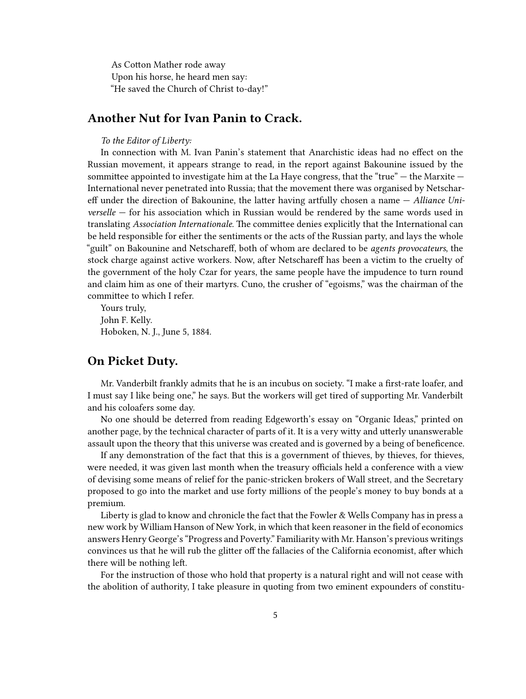As Cotton Mather rode away Upon his horse, he heard men say: "He saved the Church of Christ to-day!"

# <span id="page-4-0"></span>**Another Nut for Ivan Panin to Crack.**

#### *To the Editor of Liberty:*

In connection with M. Ivan Panin's statement that Anarchistic ideas had no effect on the Russian movement, it appears strange to read, in the report against Bakounine issued by the sommittee appointed to investigate him at the La Haye congress, that the "true"  $-$  the Marxite  $-$ International never penetrated into Russia; that the movement there was organised by Netschareff under the direction of Bakounine, the latter having artfully chosen a name — *Alliance Universelle* — for his association which in Russian would be rendered by the same words used in translating *Association Internationale.* The committee denies explicitly that the International can be held responsible for either the sentiments or the acts of the Russian party, and lays the whole "guilt" on Bakounine and Netschareff, both of whom are declared to be *agents provocateurs*, the stock charge against active workers. Now, after Netschareff has been a victim to the cruelty of the government of the holy Czar for years, the same people have the impudence to turn round and claim him as one of their martyrs. Cuno, the crusher of "egoisms," was the chairman of the committee to which I refer.

Yours truly, John F. Kelly. Hoboken, N. J., June 5, 1884.

## <span id="page-4-1"></span>**On Picket Duty.**

Mr. Vanderbilt frankly admits that he is an incubus on society. "I make a first-rate loafer, and I must say I like being one," he says. But the workers will get tired of supporting Mr. Vanderbilt and his coloafers some day.

No one should be deterred from reading Edgeworth's essay on "Organic Ideas," printed on another page, by the technical character of parts of it. It is a very witty and utterly unanswerable assault upon the theory that this universe was created and is governed by a being of beneficence.

If any demonstration of the fact that this is a government of thieves, by thieves, for thieves, were needed, it was given last month when the treasury officials held a conference with a view of devising some means of relief for the panic-stricken brokers of Wall street, and the Secretary proposed to go into the market and use forty millions of the people's money to buy bonds at a premium.

Liberty is glad to know and chronicle the fact that the Fowler  $&$  Wells Company has in press a new work by William Hanson of New York, in which that keen reasoner in the field of economics answers Henry George's "Progress and Poverty." Familiarity with Mr. Hanson's previous writings convinces us that he will rub the glitter off the fallacies of the California economist, after which there will be nothing left.

For the instruction of those who hold that property is a natural right and will not cease with the abolition of authority, I take pleasure in quoting from two eminent expounders of constitu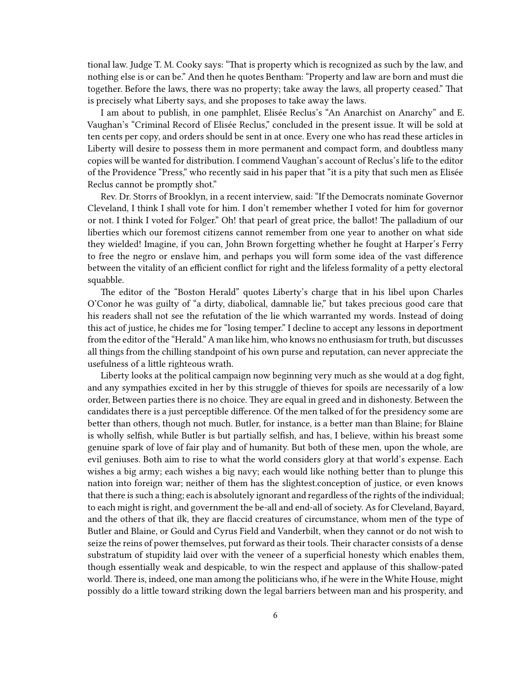tional law. Judge T. M. Cooky says: "That is property which is recognized as such by the law, and nothing else is or can be." And then he quotes Bentham: "Property and law are born and must die together. Before the laws, there was no property; take away the laws, all property ceased." That is precisely what Liberty says, and she proposes to take away the laws.

I am about to publish, in one pamphlet, Elisée Reclus's "An Anarchist on Anarchy" and E. Vaughan's "Criminal Record of Elisée Reclus," concluded in the present issue. It will be sold at ten cents per copy, and orders should be sent in at once. Every one who has read these articles in Liberty will desire to possess them in more permanent and compact form, and doubtless many copies will be wanted for distribution. I commend Vaughan's account of Reclus's life to the editor of the Providence "Press," who recently said in his paper that "it is a pity that such men as Elisée Reclus cannot be promptly shot."

Rev. Dr. Storrs of Brooklyn, in a recent interview, said: "If the Democrats nominate Governor Cleveland, I think I shall vote for him. I don't remember whether I voted for him for governor or not. I think I voted for Folger." Oh! that pearl of great price, the ballot! The palladium of our liberties which our foremost citizens cannot remember from one year to another on what side they wielded! Imagine, if you can, John Brown forgetting whether he fought at Harper's Ferry to free the negro or enslave him, and perhaps you will form some idea of the vast difference between the vitality of an efficient conflict for right and the lifeless formality of a petty electoral squabble.

The editor of the "Boston Herald" quotes Liberty's charge that in his libel upon Charles O'Conor he was guilty of "a dirty, diabolical, damnable lie," but takes precious good care that his readers shall not see the refutation of the lie which warranted my words. Instead of doing this act of justice, he chides me for "losing temper." I decline to accept any lessons in deportment from the editor of the "Herald." A man like him, who knows no enthusiasm for truth, but discusses all things from the chilling standpoint of his own purse and reputation, can never appreciate the usefulness of a little righteous wrath.

Liberty looks at the political campaign now beginning very much as she would at a dog fight, and any sympathies excited in her by this struggle of thieves for spoils are necessarily of a low order, Between parties there is no choice. They are equal in greed and in dishonesty. Between the candidates there is a just perceptible difference. Of the men talked of for the presidency some are better than others, though not much. Butler, for instance, is a better man than Blaine; for Blaine is wholly selfish, while Butler is but partially selfish, and has, I believe, within his breast some genuine spark of love of fair play and of humanity. But both of these men, upon the whole, are evil geniuses. Both aim to rise to what the world considers glory at that world's expense. Each wishes a big army; each wishes a big navy; each would like nothing better than to plunge this nation into foreign war; neither of them has the slightest.conception of justice, or even knows that there is such a thing; each is absolutely ignorant and regardless of the rights of the individual; to each might is right, and government the be-all and end-all of society. As for Cleveland, Bayard, and the others of that ilk, they are flaccid creatures of circumstance, whom men of the type of Butler and Blaine, or Gould and Cyrus Field and Vanderbilt, when they cannot or do not wish to seize the reins of power themselves, put forward as their tools. Their character consists of a dense substratum of stupidity laid over with the veneer of a superficial honesty which enables them, though essentially weak and despicable, to win the respect and applause of this shallow-pated world. There is, indeed, one man among the politicians who, if he were in the White House, might possibly do a little toward striking down the legal barriers between man and his prosperity, and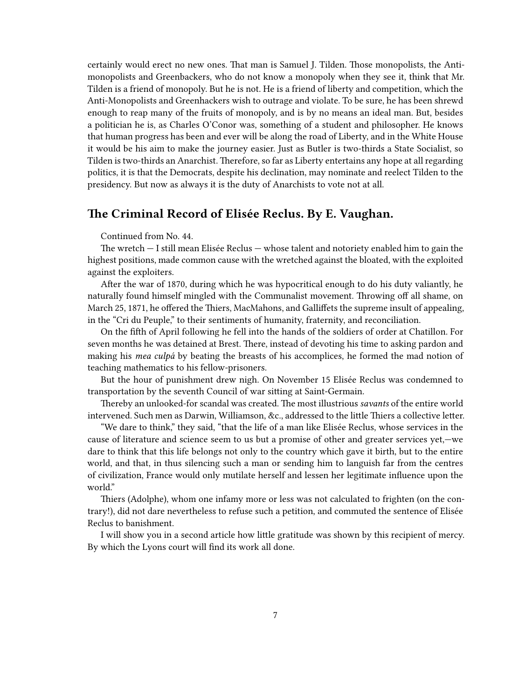certainly would erect no new ones. That man is Samuel J. Tilden. Those monopolists, the Antimonopolists and Greenbackers, who do not know a monopoly when they see it, think that Mr. Tilden is a friend of monopoly. But he is not. He is a friend of liberty and competition, which the Anti-Monopolists and Greenhackers wish to outrage and violate. To be sure, he has been shrewd enough to reap many of the fruits of monopoly, and is by no means an ideal man. But, besides a politician he is, as Charles O'Conor was, something of a student and philosopher. He knows that human progress has been and ever will be along the road of Liberty, and in the White House it would be his aim to make the journey easier. Just as Butler is two-thirds a State Socialist, so Tilden is two-thirds an Anarchist. Therefore, so far as Liberty entertains any hope at all regarding politics, it is that the Democrats, despite his declination, may nominate and reelect Tilden to the presidency. But now as always it is the duty of Anarchists to vote not at all.

## <span id="page-6-0"></span>**The Criminal Record of Elisée Reclus. By E. Vaughan.**

Continued from No. 44.

The wretch  $-$  I still mean Elisée Reclus  $-$  whose talent and notoriety enabled him to gain the highest positions, made common cause with the wretched against the bloated, with the exploited against the exploiters.

After the war of 1870, during which he was hypocritical enough to do his duty valiantly, he naturally found himself mingled with the Communalist movement. Throwing off all shame, on March 25, 1871, he offered the Thiers, MacMahons, and Galliffets the supreme insult of appealing, in the "Cri du Peuple," to their sentiments of humanity, fraternity, and reconciliation.

On the fifth of April following he fell into the hands of the soldiers of order at Chatillon. For seven months he was detained at Brest. There, instead of devoting his time to asking pardon and making his *mea culpá* by beating the breasts of his accomplices, he formed the mad notion of teaching mathematics to his fellow-prisoners.

But the hour of punishment drew nigh. On November 15 Elisée Reclus was condemned to transportation by the seventh Council of war sitting at Saint-Germain.

Thereby an unlooked-for scandal was created. The most illustrious *savants* of the entire world intervened. Such men as Darwin, Williamson, &c., addressed to the little Thiers a collective letter.

"We dare to think," they said, "that the life of a man like Elisée Reclus, whose services in the cause of literature and science seem to us but a promise of other and greater services yet,—we dare to think that this life belongs not only to the country which gave it birth, but to the entire world, and that, in thus silencing such a man or sending him to languish far from the centres of civilization, France would only mutilate herself and lessen her legitimate influence upon the world."

Thiers (Adolphe), whom one infamy more or less was not calculated to frighten (on the contrary!), did not dare nevertheless to refuse such a petition, and commuted the sentence of Elisée Reclus to banishment.

I will show you in a second article how little gratitude was shown by this recipient of mercy. By which the Lyons court will find its work all done.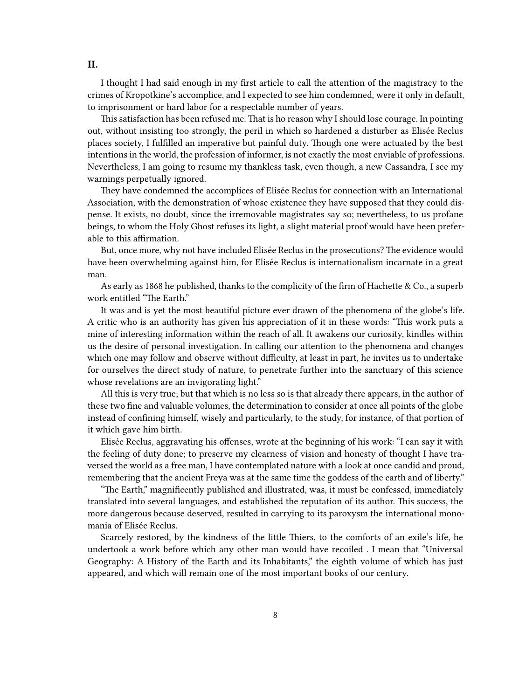I thought I had said enough in my first article to call the attention of the magistracy to the crimes of Kropotkine's accomplice, and I expected to see him condemned, were it only in default, to imprisonment or hard labor for a respectable number of years.

This satisfaction has been refused me. That is ho reason why I should lose courage. In pointing out, without insisting too strongly, the peril in which so hardened a disturber as Elisée Reclus places society, I fulfilled an imperative but painful duty. Though one were actuated by the best intentions in the world, the profession of informer, is not exactly the most enviable of professions. Nevertheless, I am going to resume my thankless task, even though, a new Cassandra, I see my warnings perpetually ignored.

They have condemned the accomplices of Elisée Reclus for connection with an International Association, with the demonstration of whose existence they have supposed that they could dispense. It exists, no doubt, since the irremovable magistrates say so; nevertheless, to us profane beings, to whom the Holy Ghost refuses its light, a slight material proof would have been preferable to this affirmation.

But, once more, why not have included Elisée Reclus in the prosecutions? The evidence would have been overwhelming against him, for Elisée Reclus is internationalism incarnate in a great man.

As early as 1868 he published, thanks to the complicity of the firm of Hachette & Co., a superb work entitled "The Earth."

It was and is yet the most beautiful picture ever drawn of the phenomena of the globe's life. A critic who is an authority has given his appreciation of it in these words: "This work puts a mine of interesting information within the reach of all. It awakens our curiosity, kindles within us the desire of personal investigation. In calling our attention to the phenomena and changes which one may follow and observe without difficulty, at least in part, he invites us to undertake for ourselves the direct study of nature, to penetrate further into the sanctuary of this science whose revelations are an invigorating light."

All this is very true; but that which is no less so is that already there appears, in the author of these two fine and valuable volumes, the determination to consider at once all points of the globe instead of confining himself, wisely and particularly, to the study, for instance, of that portion of it which gave him birth.

Elisée Reclus, aggravating his offenses, wrote at the beginning of his work: "I can say it with the feeling of duty done; to preserve my clearness of vision and honesty of thought I have traversed the world as a free man, I have contemplated nature with a look at once candid and proud, remembering that the ancient Freya was at the same time the goddess of the earth and of liberty."

"The Earth," magnificently published and illustrated, was, it must be confessed, immediately translated into several languages, and established the reputation of its author. This success, the more dangerous because deserved, resulted in carrying to its paroxysm the international monomania of Elisée Reclus.

Scarcely restored, by the kindness of the little Thiers, to the comforts of an exile's life, he undertook a work before which any other man would have recoiled . I mean that "Universal Geography: A History of the Earth and its Inhabitants," the eighth volume of which has just appeared, and which will remain one of the most important books of our century.

#### <span id="page-7-0"></span>**II.**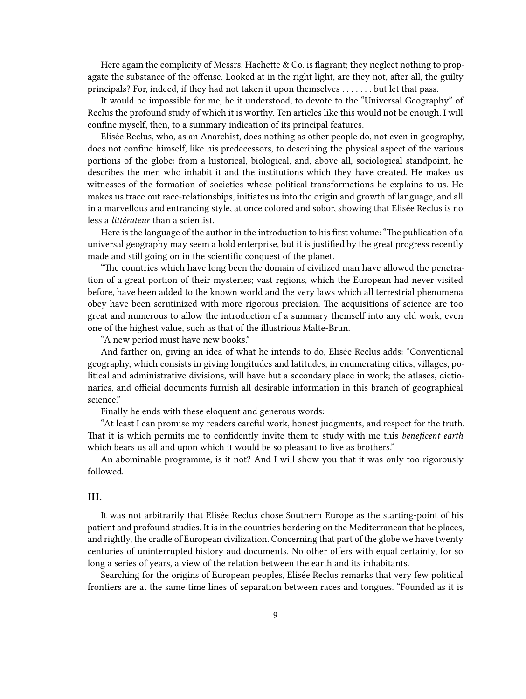Here again the complicity of Messrs. Hachette & Co. is flagrant; they neglect nothing to propagate the substance of the offense. Looked at in the right light, are they not, after all, the guilty principals? For, indeed, if they had not taken it upon themselves . . . . . . . but let that pass.

It would be impossible for me, be it understood, to devote to the "Universal Geography" of Reclus the profound study of which it is worthy. Ten articles like this would not be enough. I will confine myself, then, to a summary indication of its principal features.

Elisée Reclus, who, as an Anarchist, does nothing as other people do, not even in geography, does not confine himself, like his predecessors, to describing the physical aspect of the various portions of the globe: from a historical, biological, and, above all, sociological standpoint, he describes the men who inhabit it and the institutions which they have created. He makes us witnesses of the formation of societies whose political transformations he explains to us. He makes us trace out race-relationsbips, initiates us into the origin and growth of language, and all in a marvellous and entrancing style, at once colored and sobor, showing that Elisée Reclus is no less a *littérateur* than a scientist.

Here is the language of the author in the introduction to his first volume: "The publication of a universal geography may seem a bold enterprise, but it is justified by the great progress recently made and still going on in the scientific conquest of the planet.

"The countries which have long been the domain of civilized man have allowed the penetration of a great portion of their mysteries; vast regions, which the European had never visited before, have been added to the known world and the very laws which all terrestrial phenomena obey have been scrutinized with more rigorous precision. The acquisitions of science are too great and numerous to allow the introduction of a summary themself into any old work, even one of the highest value, such as that of the illustrious Malte-Brun.

"A new period must have new books."

And farther on, giving an idea of what he intends to do, Elisée Reclus adds: "Conventional geography, which consists in giving longitudes and latitudes, in enumerating cities, villages, political and administrative divisions, will have but a secondary place in work; the atlases, dictionaries, and official documents furnish all desirable information in this branch of geographical science."

Finally he ends with these eloquent and generous words:

"At least I can promise my readers careful work, honest judgments, and respect for the truth. That it is which permits me to confidently invite them to study with me this *beneficent earth* which bears us all and upon which it would be so pleasant to live as brothers."

An abominable programme, is it not? And I will show you that it was only too rigorously followed.

#### <span id="page-8-0"></span>**III.**

It was not arbitrarily that Elisée Reclus chose Southern Europe as the starting-point of his patient and profound studies. It is in the countries bordering on the Mediterranean that he places, and rightly, the cradle of European civilization. Concerning that part of the globe we have twenty centuries of uninterrupted history aud documents. No other offers with equal certainty, for so long a series of years, a view of the relation between the earth and its inhabitants.

Searching for the origins of European peoples, Elisée Reclus remarks that very few political frontiers are at the same time lines of separation between races and tongues. "Founded as it is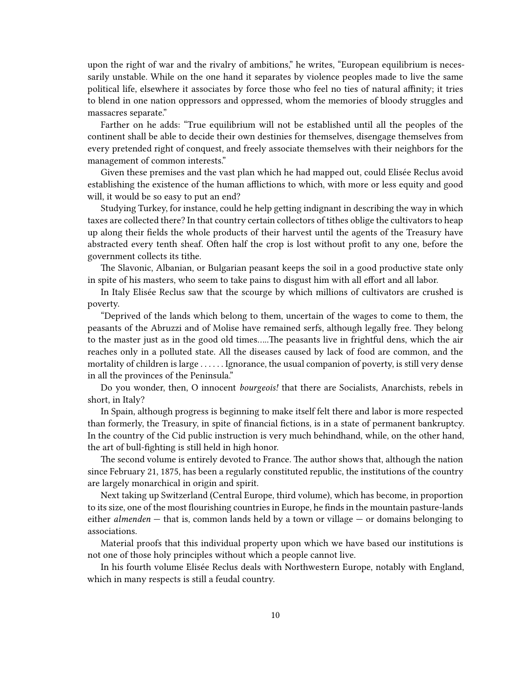upon the right of war and the rivalry of ambitions," he writes, "European equilibrium is necessarily unstable. While on the one hand it separates by violence peoples made to live the same political life, elsewhere it associates by force those who feel no ties of natural affinity; it tries to blend in one nation oppressors and oppressed, whom the memories of bloody struggles and massacres separate."

Farther on he adds: "True equilibrium will not be established until all the peoples of the continent shall be able to decide their own destinies for themselves, disengage themselves from every pretended right of conquest, and freely associate themselves with their neighbors for the management of common interests."

Given these premises and the vast plan which he had mapped out, could Elisée Reclus avoid establishing the existence of the human afflictions to which, with more or less equity and good will, it would be so easy to put an end?

Studying Turkey, for instance, could he help getting indignant in describing the way in which taxes are collected there? In that country certain collectors of tithes oblige the cultivators to heap up along their fields the whole products of their harvest until the agents of the Treasury have abstracted every tenth sheaf. Often half the crop is lost without profit to any one, before the government collects its tithe.

The Slavonic, Albanian, or Bulgarian peasant keeps the soil in a good productive state only in spite of his masters, who seem to take pains to disgust him with all effort and all labor.

In Italy Elisée Reclus saw that the scourge by which millions of cultivators are crushed is poverty.

"Deprived of the lands which belong to them, uncertain of the wages to come to them, the peasants of the Abruzzi and of Molise have remained serfs, although legally free. They belong to the master just as in the good old times…..The peasants live in frightful dens, which the air reaches only in a polluted state. All the diseases caused by lack of food are common, and the mortality of children is large . . . . . . Ignorance, the usual companion of poverty, is still very dense in all the provinces of the Peninsula."

Do you wonder, then, O innocent *bourgeois!* that there are Socialists, Anarchists, rebels in short, in Italy?

In Spain, although progress is beginning to make itself felt there and labor is more respected than formerly, the Treasury, in spite of financial fictions, is in a state of permanent bankruptcy. In the country of the Cid public instruction is very much behindhand, while, on the other hand, the art of bull-fighting is still held in high honor.

The second volume is entirely devoted to France. The author shows that, although the nation since February 21, 1875, has been a regularly constituted republic, the institutions of the country are largely monarchical in origin and spirit.

Next taking up Switzerland (Central Europe, third volume), which has become, in proportion to its size, one of the most flourishing countries in Europe, he finds in the mountain pasture-lands either *almenden* — that is, common lands held by a town or village — or domains belonging to associations.

Material proofs that this individual property upon which we have based our institutions is not one of those holy principles without which a people cannot live.

In his fourth volume Elisée Reclus deals with Northwestern Europe, notably with England, which in many respects is still a feudal country.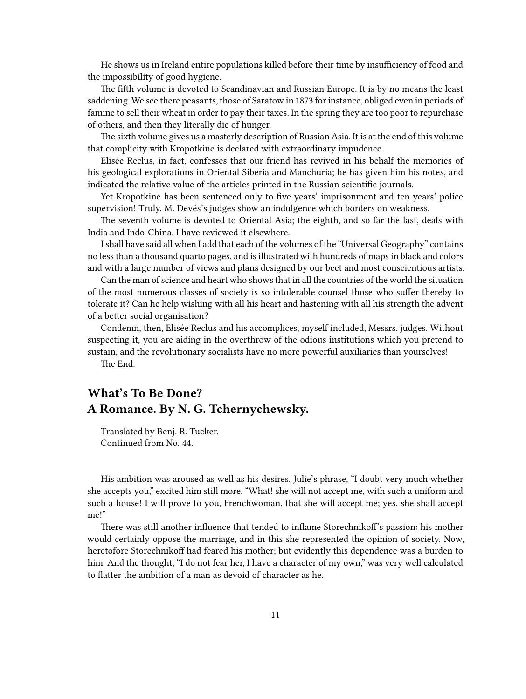He shows us in Ireland entire populations killed before their time by insufficiency of food and the impossibility of good hygiene.

The fifth volume is devoted to Scandinavian and Russian Europe. It is by no means the least saddening. We see there peasants, those of Saratow in 1873 for instance, obliged even in periods of famine to sell their wheat in order to pay their taxes. In the spring they are too poor to repurchase of others, and then they literally die of hunger.

The sixth volume gives us a masterly description of Russian Asia. It is at the end of this volume that complicity with Kropotkine is declared with extraordinary impudence.

Elisée Reclus, in fact, confesses that our friend has revived in his behalf the memories of his geological explorations in Oriental Siberia and Manchuria; he has given him his notes, and indicated the relative value of the articles printed in the Russian scientific journals.

Yet Kropotkine has been sentenced only to five years' imprisonment and ten years' police supervision! Truly, M. Devés's judges show an indulgence which borders on weakness.

The seventh volume is devoted to Oriental Asia; the eighth, and so far the last, deals with India and Indo-China. I have reviewed it elsewhere.

I shall have said all when I add that each of the volumes of the "Universal Geography" contains no less than a thousand quarto pages, and is illustrated with hundreds of maps in black and colors and with a large number of views and plans designed by our beet and most conscientious artists.

Can the man of science and heart who shows that in all the countries of the world the situation of the most numerous classes of society is so intolerable counsel those who suffer thereby to tolerate it? Can he help wishing with all his heart and hastening with all his strength the advent of a better social organisation?

Condemn, then, Elisée Reclus and his accomplices, myself included, Messrs. judges. Without suspecting it, you are aiding in the overthrow of the odious institutions which you pretend to sustain, and the revolutionary socialists have no more powerful auxiliaries than yourselves!

The End.

# <span id="page-10-0"></span>**What's To Be Done? A Romance. By N. G. Tchernychewsky.**

Translated by Benj. R. Tucker. Continued from No. 44.

His ambition was aroused as well as his desires. Julie's phrase, "I doubt very much whether she accepts you," excited him still more. "What! she will not accept me, with such a uniform and such a house! I will prove to you, Frenchwoman, that she will accept me; yes, she shall accept me!"

There was still another influence that tended to inflame Storechnikof's passion: his mother would certainly oppose the marriage, and in this she represented the opinion of society. Now, heretofore Storechnikoff had feared his mother; but evidently this dependence was a burden to him. And the thought, "I do not fear her, I have a character of my own," was very well calculated to flatter the ambition of a man as devoid of character as he.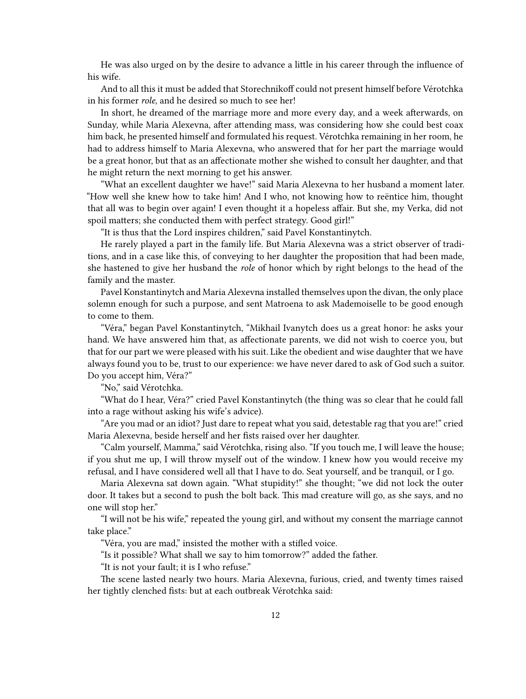He was also urged on by the desire to advance a little in his career through the influence of his wife.

And to all this it must be added that Storechnikoff could not present himself before Vérotchka in his former *role*, and he desired so much to see her!

In short, he dreamed of the marriage more and more every day, and a week afterwards, on Sunday, while Maria Alexevna, after attending mass, was considering how she could best coax him back, he presented himself and formulated his request. Vérotchka remaining in her room, he had to address himself to Maria Alexevna, who answered that for her part the marriage would be a great honor, but that as an affectionate mother she wished to consult her daughter, and that he might return the next morning to get his answer.

"What an excellent daughter we have!" said Maria Alexevna to her husband a moment later. "How well she knew how to take him! And I who, not knowing how to reëntice him, thought that all was to begin over again! I even thought it a hopeless affair. But she, my Verka, did not spoil matters; she conducted them with perfect strategy. Good girl!"

"It is thus that the Lord inspires children," said Pavel Konstantinytch.

He rarely played a part in the family life. But Maria Alexevna was a strict observer of traditions, and in a case like this, of conveying to her daughter the proposition that had been made, she hastened to give her husband the *role* of honor which by right belongs to the head of the family and the master.

Pavel Konstantinytch and Maria Alexevna installed themselves upon the divan, the only place solemn enough for such a purpose, and sent Matroena to ask Mademoiselle to be good enough to come to them.

"Véra," began Pavel Konstantinytch, "Mikhail Ivanytch does us a great honor: he asks your hand. We have answered him that, as affectionate parents, we did not wish to coerce you, but that for our part we were pleased with his suit. Like the obedient and wise daughter that we have always found you to be, trust to our experience: we have never dared to ask of God such a suitor. Do you accept him, Véra?"

"No," said Vérotchka.

"What do I hear, Véra?" cried Pavel Konstantinytch (the thing was so clear that he could fall into a rage without asking his wife's advice).

"Are you mad or an idiot? Just dare to repeat what you said, detestable rag that you are!" cried Maria Alexevna, beside herself and her fists raised over her daughter.

"Calm yourself, Mamma," said Vérotchka, rising also. "If you touch me, I will leave the house; if you shut me up, I will throw myself out of the window. I knew how you would receive my refusal, and I have considered well all that I have to do. Seat yourself, and be tranquil, or I go.

Maria Alexevna sat down again. "What stupidity!" she thought; "we did not lock the outer door. It takes but a second to push the bolt back. This mad creature will go, as she says, and no one will stop her."

"I will not be his wife," repeated the young girl, and without my consent the marriage cannot take place."

"Véra, you are mad," insisted the mother with a stifled voice.

"Is it possible? What shall we say to him tomorrow?" added the father.

"It is not your fault; it is I who refuse."

The scene lasted nearly two hours. Maria Alexevna, furious, cried, and twenty times raised her tightly clenched fists: but at each outbreak Vérotchka said: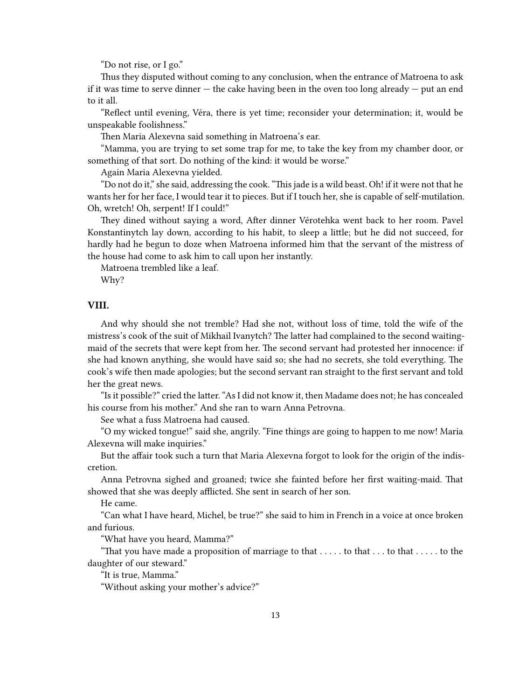"Do not rise, or I go."

Thus they disputed without coming to any conclusion, when the entrance of Matroena to ask if it was time to serve dinner  $-$  the cake having been in the oven too long already  $-$  put an end to it all.

"Reflect until evening, Véra, there is yet time; reconsider your determination; it, would be unspeakable foolishness."

Then Maria Alexevna said something in Matroena's ear.

"Mamma, you are trying to set some trap for me, to take the key from my chamber door, or something of that sort. Do nothing of the kind: it would be worse."

Again Maria Alexevna yielded.

"Do not do it," she said, addressing the cook. "This jade is a wild beast. Oh! if it were not that he wants her for her face, I would tear it to pieces. But if I touch her, she is capable of self-mutilation. Oh, wretch! Oh, serpent! If I could!"

They dined without saying a word, After dinner Vérotehka went back to her room. Pavel Konstantinytch lay down, according to his habit, to sleep a little; but he did not succeed, for hardly had he begun to doze when Matroena informed him that the servant of the mistress of the house had come to ask him to call upon her instantly.

Matroena trembled like a leaf.

Why?

#### <span id="page-12-0"></span>**VIII.**

And why should she not tremble? Had she not, without loss of time, told the wife of the mistress's cook of the suit of Mikhail Ivanytch? The latter had complained to the second waitingmaid of the secrets that were kept from her. The second servant had protested her innocence: if she had known anything, she would have said so; she had no secrets, she told everything. The cook's wife then made apologies; but the second servant ran straight to the first servant and told her the great news.

"Is it possible?" cried the latter. "As I did not know it, then Madame does not; he has concealed his course from his mother." And she ran to warn Anna Petrovna.

See what a fuss Matroena had caused.

"O my wicked tongue!" said she, angrily. "Fine things are going to happen to me now! Maria Alexevna will make inquiries."

But the affair took such a turn that Maria Alexevna forgot to look for the origin of the indiscretion.

Anna Petrovna sighed and groaned; twice she fainted before her first waiting-maid. That showed that she was deeply afflicted. She sent in search of her son.

He came.

"Can what I have heard, Michel, be true?" she said to him in French in a voice at once broken and furious.

"What have you heard, Mamma?"

"That you have made a proposition of marriage to that . . . . . to that . . . to that . . . . . to the daughter of our steward."

"It is true, Mamma."

"Without asking your mother's advice?"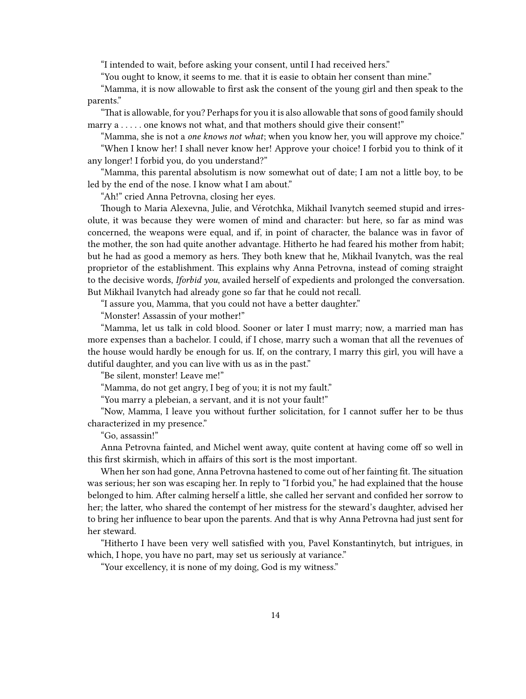"I intended to wait, before asking your consent, until I had received hers."

"You ought to know, it seems to me. that it is easie to obtain her consent than mine."

"Mamma, it is now allowable to first ask the consent of the young girl and then speak to the parents."

"That is allowable, for you? Perhaps for you it is also allowable that sons of good family should marry a . . . . . one knows not what, and that mothers should give their consent!"

"Mamma, she is not a *one knows not what*; when you know her, you will approve my choice."

"When I know her! I shall never know her! Approve your choice! I forbid you to think of it any longer! I forbid you, do you understand?"

"Mamma, this parental absolutism is now somewhat out of date; I am not a little boy, to be led by the end of the nose. I know what I am about."

"Ah!" cried Anna Petrovna, closing her eyes.

Though to Maria Alexevna, Julie, and Vérotchka, Mikhail Ivanytch seemed stupid and irresolute, it was because they were women of mind and character: but here, so far as mind was concerned, the weapons were equal, and if, in point of character, the balance was in favor of the mother, the son had quite another advantage. Hitherto he had feared his mother from habit; but he had as good a memory as hers. They both knew that he, Mikhail Ivanytch, was the real proprietor of the establishment. This explains why Anna Petrovna, instead of coming straight to the decisive words, *Iforbid you*, availed herself of expedients and prolonged the conversation. But Mikhail Ivanytch had already gone so far that he could not recall.

"I assure you, Mamma, that you could not have a better daughter."

"Monster! Assassin of your mother!"

"Mamma, let us talk in cold blood. Sooner or later I must marry; now, a married man has more expenses than a bachelor. I could, if I chose, marry such a woman that all the revenues of the house would hardly be enough for us. If, on the contrary, I marry this girl, you will have a dutiful daughter, and you can live with us as in the past."

"Be silent, monster! Leave me!"

"Mamma, do not get angry, I beg of you; it is not my fault."

"You marry a plebeian, a servant, and it is not your fault!"

"Now, Mamma, I leave you without further solicitation, for I cannot suffer her to be thus characterized in my presence."

"Go, assassin!"

Anna Petrovna fainted, and Michel went away, quite content at having come off so well in this first skirmish, which in affairs of this sort is the most important.

When her son had gone, Anna Petrovna hastened to come out of her fainting fit. The situation was serious; her son was escaping her. In reply to "I forbid you," he had explained that the house belonged to him. After calming herself a little, she called her servant and confided her sorrow to her; the latter, who shared the contempt of her mistress for the steward's daughter, advised her to bring her influence to bear upon the parents. And that is why Anna Petrovna had just sent for her steward.

"Hitherto I have been very well satisfied with you, Pavel Konstantinytch, but intrigues, in which, I hope, you have no part, may set us seriously at variance."

"Your excellency, it is none of my doing, God is my witness."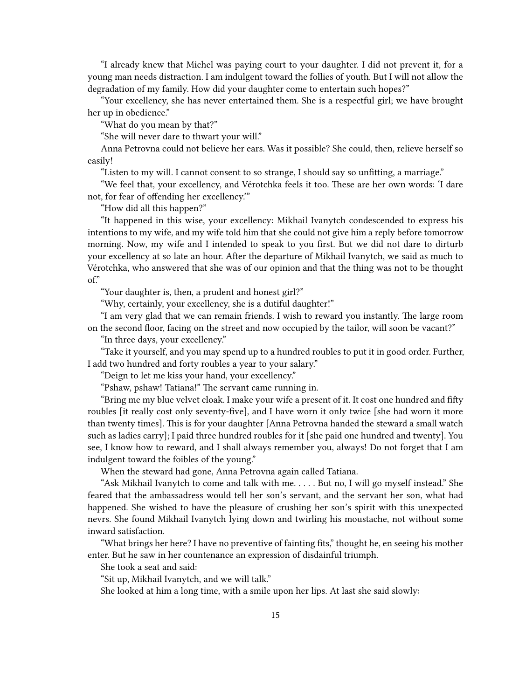"I already knew that Michel was paying court to your daughter. I did not prevent it, for a young man needs distraction. I am indulgent toward the follies of youth. But I will not allow the degradation of my family. How did your daughter come to entertain such hopes?"

"Your excellency, she has never entertained them. She is a respectful girl; we have brought her up in obedience."

"What do you mean by that?"

"She will never dare to thwart your will."

Anna Petrovna could not believe her ears. Was it possible? She could, then, relieve herself so easily!

"Listen to my will. I cannot consent to so strange, I should say so unfitting, a marriage."

"We feel that, your excellency, and Vérotchka feels it too. These are her own words: 'I dare not, for fear of offending her excellency.'"

"How did all this happen?"

"It happened in this wise, your excellency: Mikhail Ivanytch condescended to express his intentions to my wife, and my wife told him that she could not give him a reply before tomorrow morning. Now, my wife and I intended to speak to you first. But we did not dare to dirturb your excellency at so late an hour. After the departure of Mikhail Ivanytch, we said as much to Vérotchka, who answered that she was of our opinion and that the thing was not to be thought of."

"Your daughter is, then, a prudent and honest girl?"

"Why, certainly, your excellency, she is a dutiful daughter!"

"I am very glad that we can remain friends. I wish to reward you instantly. The large room on the second floor, facing on the street and now occupied by the tailor, will soon be vacant?"

"In three days, your excellency."

"Take it yourself, and you may spend up to a hundred roubles to put it in good order. Further, I add two hundred and forty roubles a year to your salary."

"Deign to let me kiss your hand, your excellency."

"Pshaw, pshaw! Tatiana!" The servant came running in.

"Bring me my blue velvet cloak. I make your wife a present of it. It cost one hundred and fifty roubles [it really cost only seventy-five], and I have worn it only twice [she had worn it more than twenty times]. This is for your daughter [Anna Petrovna handed the steward a small watch such as ladies carry]; I paid three hundred roubles for it [she paid one hundred and twenty]. You see, I know how to reward, and I shall always remember you, always! Do not forget that I am indulgent toward the foibles of the young."

When the steward had gone, Anna Petrovna again called Tatiana.

"Ask Mikhail Ivanytch to come and talk with me. . . . . But no, I will go myself instead." She feared that the ambassadress would tell her son's servant, and the servant her son, what had happened. She wished to have the pleasure of crushing her son's spirit with this unexpected nevrs. She found Mikhail Ivanytch lying down and twirling his moustache, not without some inward satisfaction.

"What brings her here? I have no preventive of fainting fits," thought he, en seeing his mother enter. But he saw in her countenance an expression of disdainful triumph.

She took a seat and said:

"Sit up, Mikhail Ivanytch, and we will talk."

She looked at him a long time, with a smile upon her lips. At last she said slowly: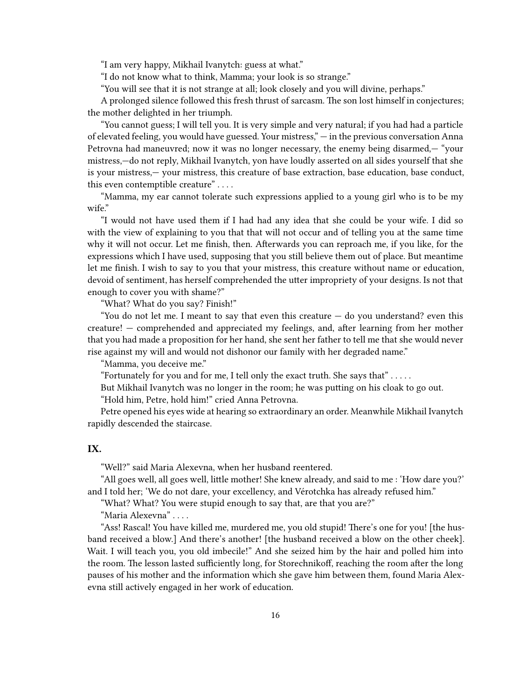"I am very happy, Mikhail Ivanytch: guess at what."

"I do not know what to think, Mamma; your look is so strange."

"You will see that it is not strange at all; look closely and you will divine, perhaps."

A prolonged silence followed this fresh thrust of sarcasm. The son lost himself in conjectures; the mother delighted in her triumph.

"You cannot guess; I will tell you. It is very simple and very natural; if you had had a particle of elevated feeling, you would have guessed. Your mistress," — in the previous conversation Anna Petrovna had maneuvred; now it was no longer necessary, the enemy being disarmed,— "your mistress,—do not reply, Mikhail Ivanytch, yon have loudly asserted on all sides yourself that she is your mistress,— your mistress, this creature of base extraction, base education, base conduct, this even contemptible creature" . . . .

"Mamma, my ear cannot tolerate such expressions applied to a young girl who is to be my wife"

"I would not have used them if I had had any idea that she could be your wife. I did so with the view of explaining to you that that will not occur and of telling you at the same time why it will not occur. Let me finish, then. Afterwards you can reproach me, if you like, for the expressions which I have used, supposing that you still believe them out of place. But meantime let me finish. I wish to say to you that your mistress, this creature without name or education, devoid of sentiment, has herself comprehended the utter impropriety of your designs. Is not that enough to cover you with shame?"

"What? What do you say? Finish!"

"You do not let me. I meant to say that even this creature  $-$  do you understand? even this creature! — comprehended and appreciated my feelings, and, after learning from her mother that you had made a proposition for her hand, she sent her father to tell me that she would never rise against my will and would not dishonor our family with her degraded name."

"Mamma, you deceive me."

"Fortunately for you and for me, I tell only the exact truth. She says that".....

But Mikhail Ivanytch was no longer in the room; he was putting on his cloak to go out.

"Hold him, Petre, hold him!" cried Anna Petrovna.

Petre opened his eyes wide at hearing so extraordinary an order. Meanwhile Mikhail Ivanytch rapidly descended the staircase.

#### <span id="page-15-0"></span>**IX.**

"Well?" said Maria Alexevna, when her husband reentered.

"All goes well, all goes well, little mother! She knew already, and said to me : 'How dare you?' and I told her; 'We do not dare, your excellency, and Vérotchka has already refused him."

"What? What? You were stupid enough to say that, are that you are?"

"Maria Alexevna" . . . .

"Ass! Rascal! You have killed me, murdered me, you old stupid! There's one for you! [the husband received a blow.] And there's another! [the husband received a blow on the other cheek]. Wait. I will teach you, you old imbecile!" And she seized him by the hair and polled him into the room. The lesson lasted sufficiently long, for Storechnikoff, reaching the room after the long pauses of his mother and the information which she gave him between them, found Maria Alexevna still actively engaged in her work of education.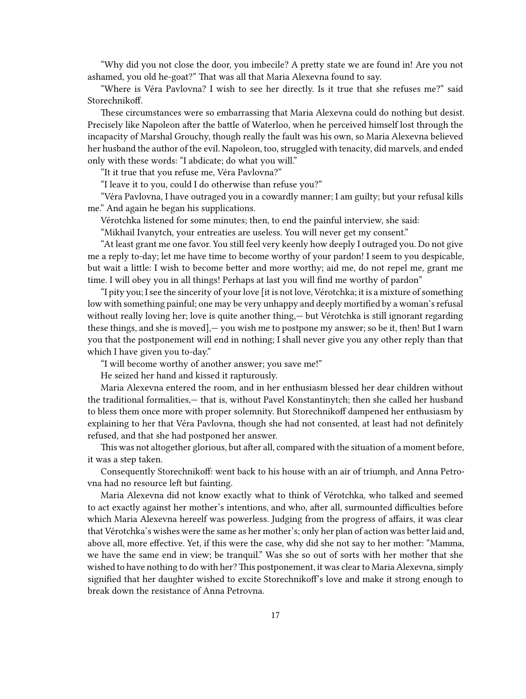"Why did you not close the door, you imbecile? A pretty state we are found in! Are you not ashamed, you old he-goat?" That was all that Maria Alexevna found to say.

"Where is Véra Pavlovna? I wish to see her directly. Is it true that she refuses me?" said Storechnikoff.

These circumstances were so embarrassing that Maria Alexevna could do nothing but desist. Precisely like Napoleon after the battle of Waterloo, when he perceived himself lost through the incapacity of Marshal Grouchy, though really the fault was his own, so Maria Alexevna believed her husband the author of the evil. Napoleon, too, struggled with tenacity, did marvels, and ended only with these words: "I abdicate; do what you will."

"It it true that you refuse me, Véra Pavlovna?"

"I leave it to you, could I do otherwise than refuse you?"

"Véra Pavlovna, I have outraged you in a cowardly manner; I am guilty; but your refusal kills me." And again he began his supplications.

Vérotchka listened for some minutes; then, to end the painful interview, she said:

"Mikhail Ivanytch, your entreaties are useless. You will never get my consent."

"At least grant me one favor. You still feel very keenly how deeply I outraged you. Do not give me a reply to-day; let me have time to become worthy of your pardon! I seem to you despicable, but wait a little: I wish to become better and more worthy; aid me, do not repel me, grant me time. I will obey you in all things! Perhaps at last you will find me worthy of pardon"

"I pity you; I see the sincerity of your love [it is not love, Vérotchka; it is a mixture of something low with something painful; one may be very unhappy and deeply mortified by a woman's refusal without really loving her; love is quite another thing, — but Vérotchka is still ignorant regarding these things, and she is moved],— you wish me to postpone my answer; so be it, then! But I warn you that the postponement will end in nothing; I shall never give you any other reply than that which I have given you to-day."

"I will become worthy of another answer; you save me!"

He seized her hand and kissed it rapturously.

Maria Alexevna entered the room, and in her enthusiasm blessed her dear children without the traditional formalities,— that is, without Pavel Konstantinytch; then she called her husband to bless them once more with proper solemnity. But Storechnikoff dampened her enthusiasm by explaining to her that Véra Pavlovna, though she had not consented, at least had not definitely refused, and that she had postponed her answer.

This was not altogether glorious, but after all, compared with the situation of a moment before, it was a step taken.

Consequently Storechnikoff: went back to his house with an air of triumph, and Anna Petrovna had no resource left but fainting.

Maria Alexevna did not know exactly what to think of Vérotchka, who talked and seemed to act exactly against her mother's intentions, and who, after all, surmounted difficulties before which Maria Alexevna hereelf was powerless. Judging from the progress of affairs, it was clear that Vérotchka's wishes were the same as her mother's; only her plan of action was better laid and, above all, more effective. Yet, if this were the case, why did she not say to her mother: "Mamma, we have the same end in view; be tranquil." Was she so out of sorts with her mother that she wished to have nothing to do with her? This postponement, it was clear to Maria Alexevna, simply signified that her daughter wished to excite Storechnikof's love and make it strong enough to break down the resistance of Anna Petrovna.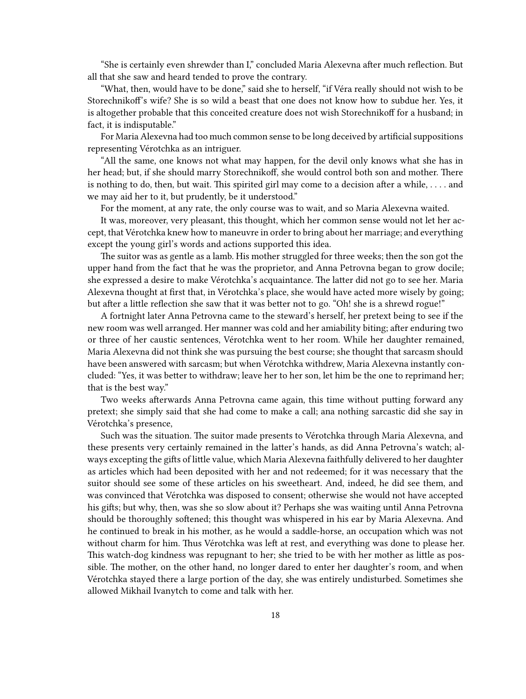"She is certainly even shrewder than I," concluded Maria Alexevna after much reflection. But all that she saw and heard tended to prove the contrary.

"What, then, would have to be done," said she to herself, "if Véra really should not wish to be Storechnikof's wife? She is so wild a beast that one does not know how to subdue her. Yes, it is altogether probable that this conceited creature does not wish Storechnikoff for a husband; in fact, it is indisputable."

For Maria Alexevna had too much common sense to be long deceived by artificial suppositions representing Vérotchka as an intriguer.

"All the same, one knows not what may happen, for the devil only knows what she has in her head; but, if she should marry Storechnikoff, she would control both son and mother. There is nothing to do, then, but wait. This spirited girl may come to a decision after a while, . . . . and we may aid her to it, but prudently, be it understood."

For the moment, at any rate, the only course was to wait, and so Maria Alexevna waited.

It was, moreover, very pleasant, this thought, which her common sense would not let her accept, that Vérotchka knew how to maneuvre in order to bring about her marriage; and everything except the young girl's words and actions supported this idea.

The suitor was as gentle as a lamb. His mother struggled for three weeks; then the son got the upper hand from the fact that he was the proprietor, and Anna Petrovna began to grow docile; she expressed a desire to make Vérotchka's acquaintance. The latter did not go to see her. Maria Alexevna thought at first that, in Vérotchka's place, she would have acted more wisely by going; but after a little reflection she saw that it was better not to go. "Oh! she is a shrewd rogue!"

A fortnight later Anna Petrovna came to the steward's herself, her pretext being to see if the new room was well arranged. Her manner was cold and her amiability biting; after enduring two or three of her caustic sentences, Vérotchka went to her room. While her daughter remained, Maria Alexevna did not think she was pursuing the best course; she thought that sarcasm should have been answered with sarcasm; but when Vérotchka withdrew, Maria Alexevna instantly concluded: "Yes, it was better to withdraw; leave her to her son, let him be the one to reprimand her; that is the best way."

Two weeks afterwards Anna Petrovna came again, this time without putting forward any pretext; she simply said that she had come to make a call; ana nothing sarcastic did she say in Vérotchka's presence,

Such was the situation. The suitor made presents to Vérotchka through Maria Alexevna, and these presents very certainly remained in the latter's hands, as did Anna Petrovna's watch; always excepting the gifts of little value, which Maria Alexevna faithfully delivered to her daughter as articles which had been deposited with her and not redeemed; for it was necessary that the suitor should see some of these articles on his sweetheart. And, indeed, he did see them, and was convinced that Vérotchka was disposed to consent; otherwise she would not have accepted his gifts; but why, then, was she so slow about it? Perhaps she was waiting until Anna Petrovna should be thoroughly softened; this thought was whispered in his ear by Maria Alexevna. And he continued to break in his mother, as he would a saddle-horse, an occupation which was not without charm for him. Thus Vérotchka was left at rest, and everything was done to please her. This watch-dog kindness was repugnant to her; she tried to be with her mother as little as possible. The mother, on the other hand, no longer dared to enter her daughter's room, and when Vérotchka stayed there a large portion of the day, she was entirely undisturbed. Sometimes she allowed Mikhail Ivanytch to come and talk with her.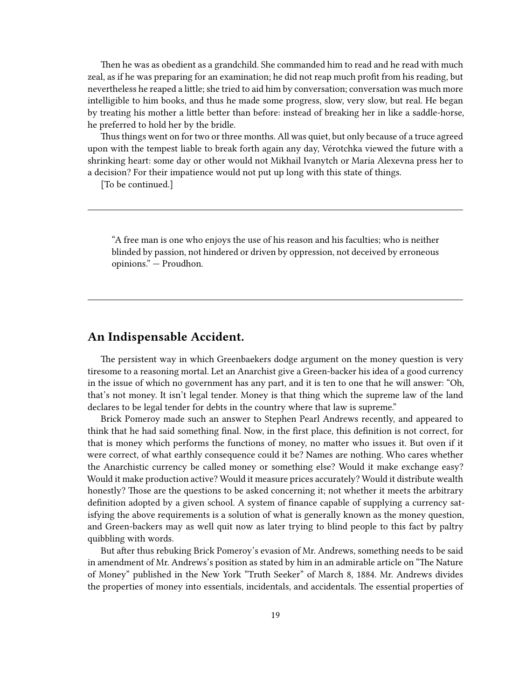Then he was as obedient as a grandchild. She commanded him to read and he read with much zeal, as if he was preparing for an examination; he did not reap much profit from his reading, but nevertheless he reaped a little; she tried to aid him by conversation; conversation was much more intelligible to him books, and thus he made some progress, slow, very slow, but real. He began by treating his mother a little better than before: instead of breaking her in like a saddle-horse, he preferred to hold her by the bridle.

Thus things went on for two or three months. All was quiet, but only because of a truce agreed upon with the tempest liable to break forth again any day, Vérotchka viewed the future with a shrinking heart: some day or other would not Mikhail Ivanytch or Maria Alexevna press her to a decision? For their impatience would not put up long with this state of things.

[To be continued.]

"A free man is one who enjoys the use of his reason and his faculties; who is neither blinded by passion, not hindered or driven by oppression, not deceived by erroneous opinions." — Proudhon.

# <span id="page-18-0"></span>**An Indispensable Accident.**

The persistent way in which Greenbaekers dodge argument on the money question is very tiresome to a reasoning mortal. Let an Anarchist give a Green-backer his idea of a good currency in the issue of which no government has any part, and it is ten to one that he will answer: "Oh, that's not money. It isn't legal tender. Money is that thing which the supreme law of the land declares to be legal tender for debts in the country where that law is supreme."

Brick Pomeroy made such an answer to Stephen Pearl Andrews recently, and appeared to think that he had said something final. Now, in the first place, this definition is not correct, for that is money which performs the functions of money, no matter who issues it. But oven if it were correct, of what earthly consequence could it be? Names are nothing. Who cares whether the Anarchistic currency be called money or something else? Would it make exchange easy? Would it make production active? Would it measure prices accurately? Would it distribute wealth honestly? Those are the questions to be asked concerning it; not whether it meets the arbitrary definition adopted by a given school. A system of finance capable of supplying a currency satisfying the above requirements is a solution of what is generally known as the money question, and Green-backers may as well quit now as later trying to blind people to this fact by paltry quibbling with words.

But after thus rebuking Brick Pomeroy's evasion of Mr. Andrews, something needs to be said in amendment of Mr. Andrews's position as stated by him in an admirable article on "The Nature of Money" published in the New York "Truth Seeker" of March 8, 1884. Mr. Andrews divides the properties of money into essentials, incidentals, and accidentals. The essential properties of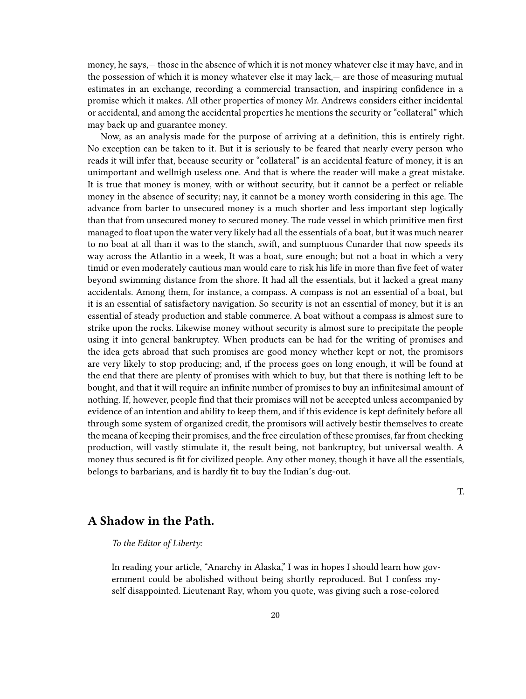money, he says,— those in the absence of which it is not money whatever else it may have, and in the possession of which it is money whatever else it may lack,— are those of measuring mutual estimates in an exchange, recording a commercial transaction, and inspiring confidence in a promise which it makes. All other properties of money Mr. Andrews considers either incidental or accidental, and among the accidental properties he mentions the security or "collateral" which may back up and guarantee money.

Now, as an analysis made for the purpose of arriving at a definition, this is entirely right. No exception can be taken to it. But it is seriously to be feared that nearly every person who reads it will infer that, because security or "collateral" is an accidental feature of money, it is an unimportant and wellnigh useless one. And that is where the reader will make a great mistake. It is true that money is money, with or without security, but it cannot be a perfect or reliable money in the absence of security; nay, it cannot be a money worth considering in this age. The advance from barter to unsecured money is a much shorter and less important step logically than that from unsecured money to secured money. The rude vessel in which primitive men first managed to float upon the water very likely had all the essentials of a boat, but it was much nearer to no boat at all than it was to the stanch, swift, and sumptuous Cunarder that now speeds its way across the Atlantio in a week, It was a boat, sure enough; but not a boat in which a very timid or even moderately cautious man would care to risk his life in more than five feet of water beyond swimming distance from the shore. It had all the essentials, but it lacked a great many accidentals. Among them, for instance, a compass. A compass is not an essential of a boat, but it is an essential of satisfactory navigation. So security is not an essential of money, but it is an essential of steady production and stable commerce. A boat without a compass is almost sure to strike upon the rocks. Likewise money without security is almost sure to precipitate the people using it into general bankruptcy. When products can be had for the writing of promises and the idea gets abroad that such promises are good money whether kept or not, the promisors are very likely to stop producing; and, if the process goes on long enough, it will be found at the end that there are plenty of promises with which to buy, but that there is nothing left to be bought, and that it will require an infinite number of promises to buy an infinitesimal amount of nothing. If, however, people find that their promises will not be accepted unless accompanied by evidence of an intention and ability to keep them, and if this evidence is kept definitely before all through some system of organized credit, the promisors will actively bestir themselves to create the meana of keeping their promises, and the free circulation of these promises, far from checking production, will vastly stimulate it, the result being, not bankruptcy, but universal wealth. A money thus secured is fit for civilized people. Any other money, though it have all the essentials, belongs to barbarians, and is hardly fit to buy the Indian's dug-out.

## <span id="page-19-0"></span>**A Shadow in the Path.**

#### *To the Editor of Liberty:*

In reading your article, "Anarchy in Alaska," I was in hopes I should learn how government could be abolished without being shortly reproduced. But I confess myself disappointed. Lieutenant Ray, whom you quote, was giving such a rose-colored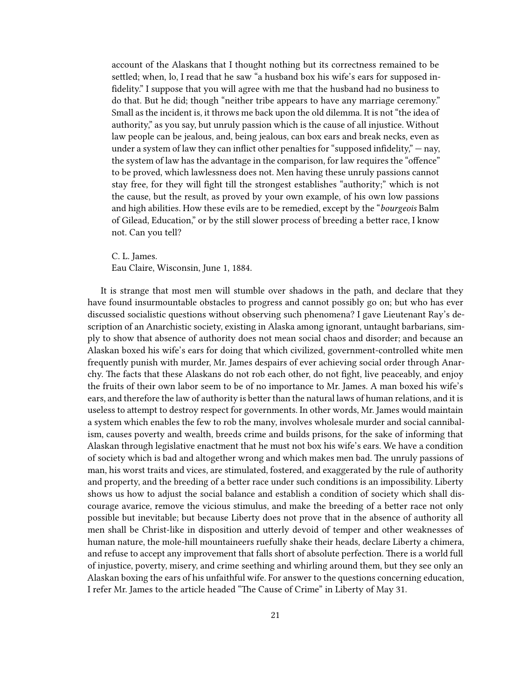account of the Alaskans that I thought nothing but its correctness remained to be settled; when, lo, I read that he saw "a husband box his wife's ears for supposed infidelity." I suppose that you will agree with me that the husband had no business to do that. But he did; though "neither tribe appears to have any marriage ceremony." Small as the incident is, it throws me back upon the old dilemma. It is not "the idea of authority," as you say, but unruly passion which is the cause of all injustice. Without law people can be jealous, and, being jealous, can box ears and break necks, even as under a system of law they can inflict other penalties for "supposed infidelity,"  $-$  nay, the system of law has the advantage in the comparison, for law requires the "offence" to be proved, which lawlessness does not. Men having these unruly passions cannot stay free, for they will fight till the strongest establishes "authority;" which is not the cause, but the result, as proved by your own example, of his own low passions and high abilities. How these evils are to be remedied, except by the "*bourgeois* Balm of Gilead, Education," or by the still slower process of breeding a better race, I know not. Can you tell?

C. L. James.

Eau Claire, Wisconsin, June 1, 1884.

It is strange that most men will stumble over shadows in the path, and declare that they have found insurmountable obstacles to progress and cannot possibly go on; but who has ever discussed socialistic questions without observing such phenomena? I gave Lieutenant Ray's description of an Anarchistic society, existing in Alaska among ignorant, untaught barbarians, simply to show that absence of authority does not mean social chaos and disorder; and because an Alaskan boxed his wife's ears for doing that which civilized, government-controlled white men frequently punish with murder, Mr. James despairs of ever achieving social order through Anarchy. The facts that these Alaskans do not rob each other, do not fight, live peaceably, and enjoy the fruits of their own labor seem to be of no importance to Mr. James. A man boxed his wife's ears, and therefore the law of authority is better than the natural laws of human relations, and it is useless to attempt to destroy respect for governments. In other words, Mr. James would maintain a system which enables the few to rob the many, involves wholesale murder and social cannibalism, causes poverty and wealth, breeds crime and builds prisons, for the sake of informing that Alaskan through legislative enactment that he must not box his wife's ears. We have a condition of society which is bad and altogether wrong and which makes men bad. The unruly passions of man, his worst traits and vices, are stimulated, fostered, and exaggerated by the rule of authority and property, and the breeding of a better race under such conditions is an impossibility. Liberty shows us how to adjust the social balance and establish a condition of society which shall discourage avarice, remove the vicious stimulus, and make the breeding of a better race not only possible but inevitable; but because Liberty does not prove that in the absence of authority all men shall be Christ-like in disposition and utterly devoid of temper and other weaknesses of human nature, the mole-hill mountaineers ruefully shake their heads, declare Liberty a chimera, and refuse to accept any improvement that falls short of absolute perfection. There is a world full of injustice, poverty, misery, and crime seething and whirling around them, but they see only an Alaskan boxing the ears of his unfaithful wife. For answer to the questions concerning education, I refer Mr. James to the article headed "The Cause of Crime" in Liberty of May 31.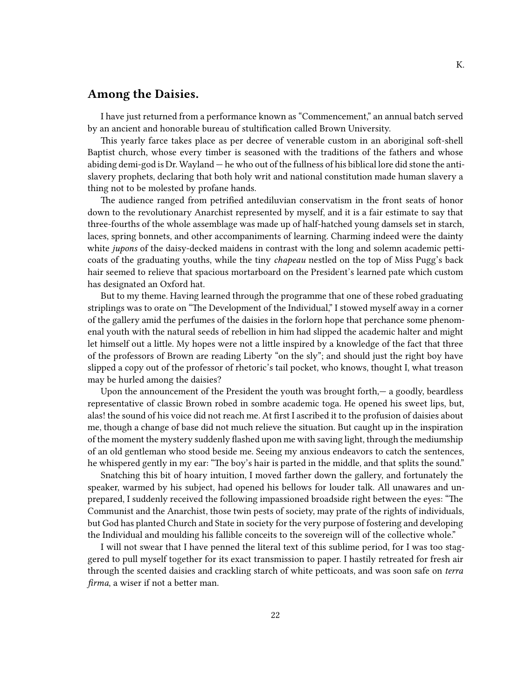# <span id="page-21-0"></span>**Among the Daisies.**

I have just returned from a performance known as "Commencement," an annual batch served by an ancient and honorable bureau of stultification called Brown University.

This yearly farce takes place as per decree of venerable custom in an aboriginal soft-shell Baptist church, whose every timber is seasoned with the traditions of the fathers and whose abiding demi-god is Dr. Wayland — he who out of the fullness of his biblical lore did stone the antislavery prophets, declaring that both holy writ and national constitution made human slavery a thing not to be molested by profane hands.

The audience ranged from petrified antediluvian conservatism in the front seats of honor down to the revolutionary Anarchist represented by myself, and it is a fair estimate to say that three-fourths of the whole assemblage was made up of half-hatched young damsels set in starch, laces, spring bonnets, and other accompaniments of learning. Charming indeed were the dainty white *jupons* of the daisy-decked maidens in contrast with the long and solemn academic petticoats of the graduating youths, while the tiny *chapeau* nestled on the top of Miss Pugg's back hair seemed to relieve that spacious mortarboard on the President's learned pate which custom has designated an Oxford hat.

But to my theme. Having learned through the programme that one of these robed graduating striplings was to orate on "The Development of the Individual," I stowed myself away in a corner of the gallery amid the perfumes of the daisies in the forlorn hope that perchance some phenomenal youth with the natural seeds of rebellion in him had slipped the academic halter and might let himself out a little. My hopes were not a little inspired by a knowledge of the fact that three of the professors of Brown are reading Liberty "on the sly"; and should just the right boy have slipped a copy out of the professor of rhetoric's tail pocket, who knows, thought I, what treason may be hurled among the daisies?

Upon the announcement of the President the youth was brought forth $-$  a goodly, beardless representative of classic Brown robed in sombre academic toga. He opened his sweet lips, but, alas! the sound of his voice did not reach me. At first I ascribed it to the profusion of daisies about me, though a change of base did not much relieve the situation. But caught up in the inspiration of the moment the mystery suddenly flashed upon me with saving light, through the mediumship of an old gentleman who stood beside me. Seeing my anxious endeavors to catch the sentences, he whispered gently in my ear: "The boy's hair is parted in the middle, and that splits the sound."

Snatching this bit of hoary intuition, I moved farther down the gallery, and fortunately the speaker, warmed by his subject, had opened his bellows for louder talk. All unawares and unprepared, I suddenly received the following impassioned broadside right between the eyes: "The Communist and the Anarchist, those twin pests of society, may prate of the rights of individuals, but God has planted Church and State in society for the very purpose of fostering and developing the Individual and moulding his fallible conceits to the sovereign will of the collective whole."

I will not swear that I have penned the literal text of this sublime period, for I was too staggered to pull myself together for its exact transmission to paper. I hastily retreated for fresh air through the scented daisies and crackling starch of white petticoats, and was soon safe on *terra firma*, a wiser if not a better man.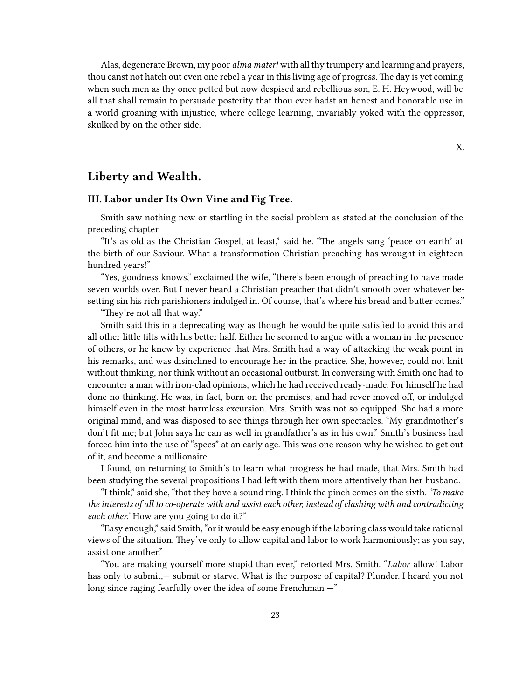Alas, degenerate Brown, my poor *alma mater!* with all thy trumpery and learning and prayers, thou canst not hatch out even one rebel a year in this living age of progress. The day is yet coming when such men as thy once petted but now despised and rebellious son, E. H. Heywood, will be all that shall remain to persuade posterity that thou ever hadst an honest and honorable use in a world groaning with injustice, where college learning, invariably yoked with the oppressor, skulked by on the other side.

X.

### <span id="page-22-0"></span>**Liberty and Wealth.**

#### <span id="page-22-1"></span>**III. Labor under Its Own Vine and Fig Tree.**

Smith saw nothing new or startling in the social problem as stated at the conclusion of the preceding chapter.

"It's as old as the Christian Gospel, at least," said he. "The angels sang 'peace on earth' at the birth of our Saviour. What a transformation Christian preaching has wrought in eighteen hundred years!"

"Yes, goodness knows," exclaimed the wife, "there's been enough of preaching to have made seven worlds over. But I never heard a Christian preacher that didn't smooth over whatever besetting sin his rich parishioners indulged in. Of course, that's where his bread and butter comes."

"They're not all that way."

Smith said this in a deprecating way as though he would be quite satisfied to avoid this and all other little tilts with his better half. Either he scorned to argue with a woman in the presence of others, or he knew by experience that Mrs. Smith had a way of attacking the weak point in his remarks, and was disinclined to encourage her in the practice. She, however, could not knit without thinking, nor think without an occasional outburst. In conversing with Smith one had to encounter a man with iron-clad opinions, which he had received ready-made. For himself he had done no thinking. He was, in fact, born on the premises, and had rever moved off, or indulged himself even in the most harmless excursion. Mrs. Smith was not so equipped. She had a more original mind, and was disposed to see things through her own spectacles. "My grandmother's don't fit me; but John says he can as well in grandfather's as in his own." Smith's business had forced him into the use of "specs" at an early age. This was one reason why he wished to get out of it, and become a millionaire.

I found, on returning to Smith's to learn what progress he had made, that Mrs. Smith had been studying the several propositions I had left with them more attentively than her husband.

"I think," said she, "that they have a sound ring. I think the pinch comes on the sixth. *'To make the interests of all to co-operate with and assist each other, instead of clashing with and contradicting each other.'* How are you going to do it?"

"Easy enough," said Smith, "or it would be easy enough if the laboring class would take rational views of the situation. They've only to allow capital and labor to work harmoniously; as you say, assist one another."

"You are making yourself more stupid than ever," retorted Mrs. Smith. "*Labor* allow! Labor has only to submit,— submit or starve. What is the purpose of capital? Plunder. I heard you not long since raging fearfully over the idea of some Frenchman —"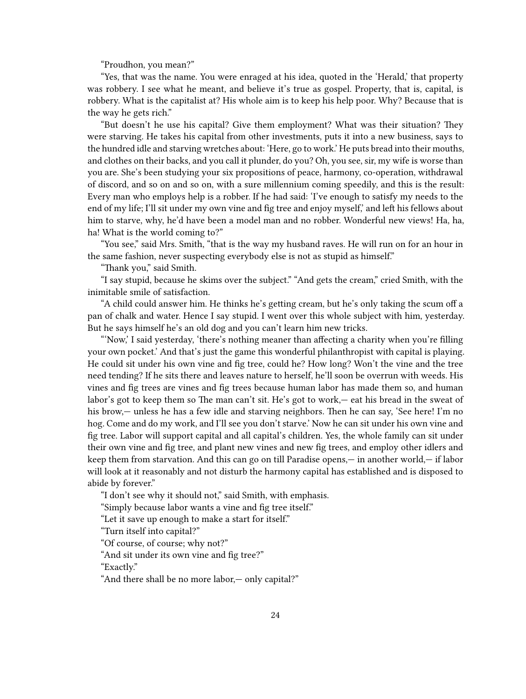"Proudhon, you mean?"

"Yes, that was the name. You were enraged at his idea, quoted in the 'Herald,' that property was robbery. I see what he meant, and believe it's true as gospel. Property, that is, capital, is robbery. What is the capitalist at? His whole aim is to keep his help poor. Why? Because that is the way he gets rich."

"But doesn't he use his capital? Give them employment? What was their situation? They were starving. He takes his capital from other investments, puts it into a new business, says to the hundred idle and starving wretches about: 'Here, go to work.' He puts bread into their mouths, and clothes on their backs, and you call it plunder, do you? Oh, you see, sir, my wife is worse than you are. She's been studying your six propositions of peace, harmony, co-operation, withdrawal of discord, and so on and so on, with a sure millennium coming speedily, and this is the result: Every man who employs help is a robber. If he had said: 'I've enough to satisfy my needs to the end of my life; I'll sit under my own vine and fig tree and enjoy myself,' and left his fellows about him to starve, why, he'd have been a model man and no robber. Wonderful new views! Ha, ha, ha! What is the world coming to?"

"You see," said Mrs. Smith, "that is the way my husband raves. He will run on for an hour in the same fashion, never suspecting everybody else is not as stupid as himself."

"Thank you," said Smith.

"I say stupid, because he skims over the subject." "And gets the cream," cried Smith, with the inimitable smile of satisfaction.

"A child could answer him. He thinks he's getting cream, but he's only taking the scum off a pan of chalk and water. Hence I say stupid. I went over this whole subject with him, yesterday. But he says himself he's an old dog and you can't learn him new tricks.

"'Now,' I said yesterday, 'there's nothing meaner than affecting a charity when you're filling your own pocket.' And that's just the game this wonderful philanthropist with capital is playing. He could sit under his own vine and fig tree, could he? How long? Won't the vine and the tree need tending? If he sits there and leaves nature to herself, he'll soon be overrun with weeds. His vines and fig trees are vines and fig trees because human labor has made them so, and human labor's got to keep them so The man can't sit. He's got to work,— eat his bread in the sweat of his brow,— unless he has a few idle and starving neighbors. Then he can say, 'See here! I'm no hog. Come and do my work, and I'll see you don't starve.' Now he can sit under his own vine and fig tree. Labor will support capital and all capital's children. Yes, the whole family can sit under their own vine and fig tree, and plant new vines and new fig trees, and employ other idlers and keep them from starvation. And this can go on till Paradise opens,— in another world,— if labor will look at it reasonably and not disturb the harmony capital has established and is disposed to abide by forever."

"I don't see why it should not," said Smith, with emphasis.

"Simply because labor wants a vine and fig tree itself."

"Let it save up enough to make a start for itself."

"Turn itself into capital?"

"Of course, of course; why not?"

"And sit under its own vine and fig tree?"

"Exactly."

"And there shall be no more labor,— only capital?"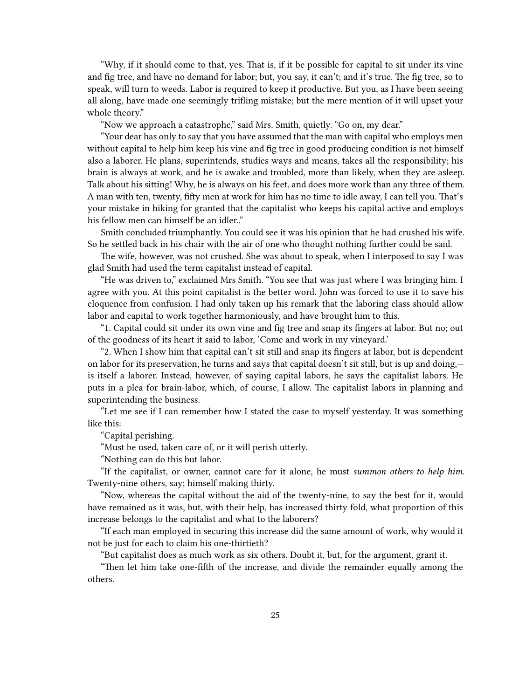"Why, if it should come to that, yes. That is, if it be possible for capital to sit under its vine and fig tree, and have no demand for labor; but, you say, it can't; and it's true. The fig tree, so to speak, will turn to weeds. Labor is required to keep it productive. But you, as I have been seeing all along, have made one seemingly trifling mistake; but the mere mention of it will upset your whole theory."

"Now we approach a catastrophe," said Mrs. Smith, quietly. "Go on, my dear."

"Your dear has only to say that you have assumed that the man with capital who employs men without capital to help him keep his vine and fig tree in good producing condition is not himself also a laborer. He plans, superintends, studies ways and means, takes all the responsibility; his brain is always at work, and he is awake and troubled, more than likely, when they are asleep. Talk about his sitting! Why, he is always on his feet, and does more work than any three of them. A man with ten, twenty, fifty men at work for him has no time to idle away, I can tell you. That's your mistake in hiking for granted that the capitalist who keeps his capital active and employs his fellow men can himself be an idler.."

Smith concluded triumphantly. You could see it was his opinion that he had crushed his wife. So he settled back in his chair with the air of one who thought nothing further could be said.

The wife, however, was not crushed. She was about to speak, when I interposed to say I was glad Smith had used the term capitalist instead of capital.

"He was driven to," exclaimed Mrs Smith. "You see that was just where I was bringing him. I agree with you. At this point capitalist is the better word. John was forced to use it to save his eloquence from confusion. I had only taken up his remark that the laboring class should allow labor and capital to work together harmoniously, and have brought him to this.

"1. Capital could sit under its own vine and fig tree and snap its fingers at labor. But no; out of the goodness of its heart it said to labor, 'Come and work in my vineyard.'

"2. When I show him that capital can't sit still and snap its fingers at labor, but is dependent on labor for its preservation, he turns and says that capital doesn't sit still, but is up and doing, is itself a laborer. Instead, however, of saying capital labors, he says the capitalist labors. He puts in a plea for brain-labor, which, of course, I allow. The capitalist labors in planning and superintending the business.

"Let me see if I can remember how I stated the case to myself yesterday. It was something like this:

"Capital perishing.

"Must be used, taken care of, or it will perish utterly.

"Nothing can do this but labor.

"If the capitalist, or owner, cannot care for it alone, he must *summon others to help him*. Twenty-nine others, say; himself making thirty.

"Now, whereas the capital without the aid of the twenty-nine, to say the best for it, would have remained as it was, but, with their help, has increased thirty fold, what proportion of this increase belongs to the capitalist and what to the laborers?

"If each man employed in securing this increase did the same amount of work, why would it not be just for each to claim his one-thirtieth?

"But capitalist does as much work as six others. Doubt it, but, for the argument, grant it.

"Then let him take one-fifth of the increase, and divide the remainder equally among the others.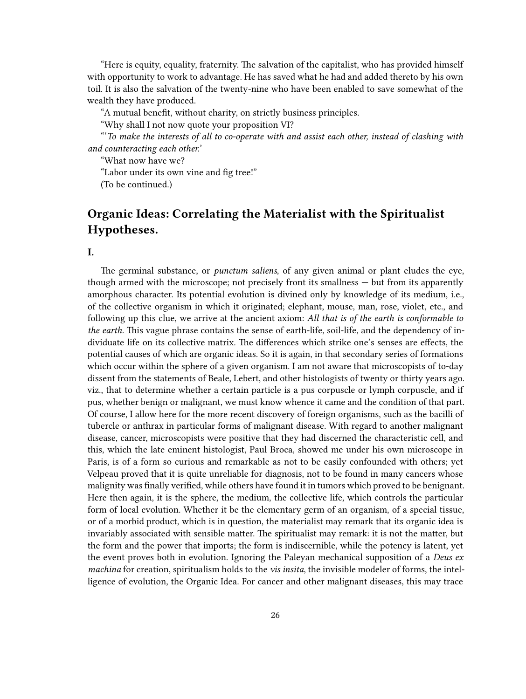"Here is equity, equality, fraternity. The salvation of the capitalist, who has provided himself with opportunity to work to advantage. He has saved what he had and added thereto by his own toil. It is also the salvation of the twenty-nine who have been enabled to save somewhat of the wealth they have produced.

"A mutual benefit, without charity, on strictly business principles.

"Why shall I not now quote your proposition VI?

"'*To make the interests of all to co-operate with and assist each other, instead of clashing with and counteracting each other.*'

"What now have we?

"Labor under its own vine and fig tree!"

(To be continued.)

# <span id="page-25-0"></span>**Organic Ideas: Correlating the Materialist with the Spiritualist Hypotheses.**

<span id="page-25-1"></span>**I.**

The germinal substance, or *punctum saliens*, of any given animal or plant eludes the eye, though armed with the microscope; not precisely front its smallness — but from its apparently amorphous character. Its potential evolution is divined only by knowledge of its medium, i.e., of the collective organism in which it originated; elephant, mouse, man, rose, violet, etc., and following up this clue, we arrive at the ancient axiom: *All that is of the earth is conformable to the earth.* This vague phrase contains the sense of earth-life, soil-life, and the dependency of individuate life on its collective matrix. The differences which strike one's senses are effects, the potential causes of which are organic ideas. So it is again, in that secondary series of formations which occur within the sphere of a given organism. I am not aware that microscopists of to-day dissent from the statements of Beale, Lebert, and other histologists of twenty or thirty years ago. viz., that to determine whether a certain particle is a pus corpuscle or lymph corpuscle, and if pus, whether benign or malignant, we must know whence it came and the condition of that part. Of course, I allow here for the more recent discovery of foreign organisms, such as the bacilli of tubercle or anthrax in particular forms of malignant disease. With regard to another malignant disease, cancer, microscopists were positive that they had discerned the characteristic cell, and this, which the late eminent histologist, Paul Broca, showed me under his own microscope in Paris, is of a form so curious and remarkable as not to be easily confounded with others; yet Velpeau proved that it is quite unreliable for diagnosis, not to be found in many cancers whose malignity was finally verified, while others have found it in tumors which proved to be benignant. Here then again, it is the sphere, the medium, the collective life, which controls the particular form of local evolution. Whether it be the elementary germ of an organism, of a special tissue, or of a morbid product, which is in question, the materialist may remark that its organic idea is invariably associated with sensible matter. The spiritualist may remark: it is not the matter, but the form and the power that imports; the form is indiscernible, while the potency is latent, yet the event proves both in evolution. Ignoring the Paleyan mechanical supposition of a *Deus ex machina* for creation, spiritualism holds to the *vis insita*, the invisible modeler of forms, the intelligence of evolution, the Organic Idea. For cancer and other malignant diseases, this may trace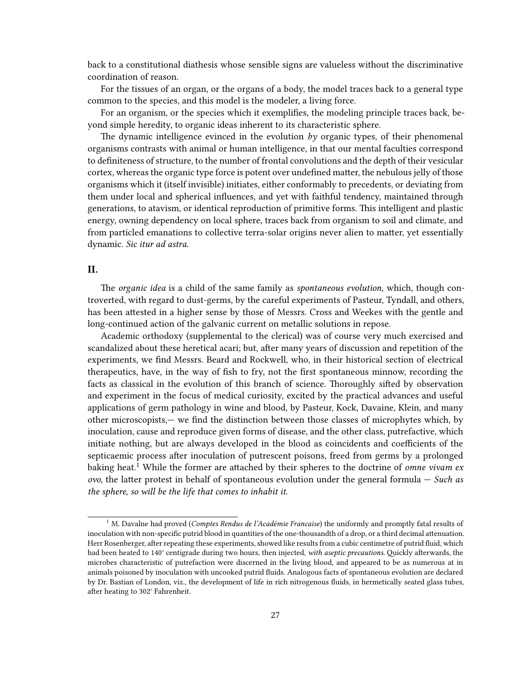back to a constitutional diathesis whose sensible signs are valueless without the discriminative coordination of reason.

For the tissues of an organ, or the organs of a body, the model traces back to a general type common to the species, and this model is the modeler, a living force.

For an organism, or the species which it exemplifies, the modeling principle traces back, beyond simple heredity, to organic ideas inherent to its characteristic sphere.

The dynamic intelligence evinced in the evolution *by* organic types, of their phenomenal organisms contrasts with animal or human intelligence, in that our mental faculties correspond to definiteness of structure, to the number of frontal convolutions and the depth of their vesicular cortex, whereas the organic type force is potent over undefined matter, the nebulous jelly of those organisms which it (itself invisible) initiates, either conformably to precedents, or deviating from them under local and spherical influences, and yet with faithful tendency, maintained through generations, to atavism, or identical reproduction of primitive forms. This intelligent and plastic energy, owning dependency on local sphere, traces back from organism to soil and climate, and from particled emanations to collective terra-solar origins never alien to matter, yet essentially dynamic. *Sic itur ad astra.*

#### <span id="page-26-0"></span>**II.**

The *organic idea* is a child of the same family as *spontaneous evolution*, which, though controverted, with regard to dust-germs, by the careful experiments of Pasteur, Tyndall, and others, has been attested in a higher sense by those of Messrs. Cross and Weekes with the gentle and long-continued action of the galvanic current on metallic solutions in repose.

Academic orthodoxy (supplemental to the clerical) was of course very much exercised and scandalized about these heretical acari; but, after many years of discussion and repetition of the experiments, we find Messrs. Beard and Rockwell, who, in their historical section of electrical therapeutics, have, in the way of fish to fry, not the first spontaneous minnow, recording the facts as classical in the evolution of this branch of science. Thoroughly sifted by observation and experiment in the focus of medical curiosity, excited by the practical advances and useful applications of germ pathology in wine and blood, by Pasteur, Kock, Davaine, Klein, and many other microscopists,— we find the distinction between those classes of microphytes which, by inoculation, cause and reproduce given forms of disease, and the other class, putrefactive, which initiate nothing, but are always developed in the blood as coincidents and coefficients of the septicaemic process after inoculation of putrescent poisons, freed from germs by a prolonged baking heat.<sup>1</sup> While the former are attached by their spheres to the doctrine of *omne vivam ex ovo*, the latter protest in behalf of spontaneous evolution under the general formula — *Such as the sphere, so will be the life that comes to inhabit it.*

<sup>1</sup> M. Davalne had proved (*Comptes Rendus de l'Académie Francaise*) the uniformly and promptly fatal results of inoculation with non-specific putrid blood in quantities of the one-thousandth of a drop, or a third decimal attenuation. Herr Rosenberger, after repeating these experiments, showed like results from a cubic centimetre of putrid fluid, which had been heated to 140° centigrade during two hours, then injected, *with aseptic precautions.* Quickly afterwards, the microbes characteristic of putrefaction were discerned in the living blood, and appeared to be as numerous at in animals poisoned by inoculation with uncooked putrid fluids. Analogous facts of spontaneous evolution are declared by Dr. Bastian of London, viz., the development of life in rich nitrogenous fluids, in hermetically seated glass tubes, after heating to 302° Fahrenheit.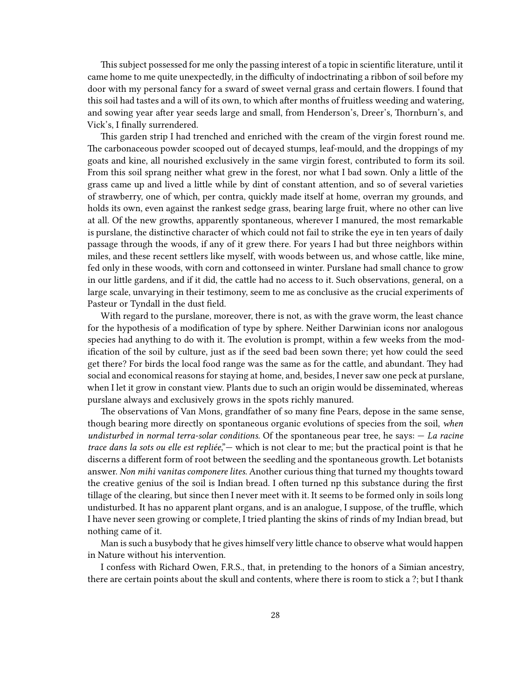This subject possessed for me only the passing interest of a topic in scientific literature, until it came home to me quite unexpectedly, in the difficulty of indoctrinating a ribbon of soil before my door with my personal fancy for a sward of sweet vernal grass and certain flowers. I found that this soil had tastes and a will of its own, to which after months of fruitless weeding and watering, and sowing year after year seeds large and small, from Henderson's, Dreer's, Thornburn's, and Vick's, I finally surrendered.

This garden strip I had trenched and enriched with the cream of the virgin forest round me. The carbonaceous powder scooped out of decayed stumps, leaf-mould, and the droppings of my goats and kine, all nourished exclusively in the same virgin forest, contributed to form its soil. From this soil sprang neither what grew in the forest, nor what I bad sown. Only a little of the grass came up and lived a little while by dint of constant attention, and so of several varieties of strawberry, one of which, per contra, quickly made itself at home, overran my grounds, and holds its own, even against the rankest sedge grass, bearing large fruit, where no other can live at all. Of the new growths, apparently spontaneous, wherever I manured, the most remarkable is purslane, the distinctive character of which could not fail to strike the eye in ten years of daily passage through the woods, if any of it grew there. For years I had but three neighbors within miles, and these recent settlers like myself, with woods between us, and whose cattle, like mine, fed only in these woods, with corn and cottonseed in winter. Purslane had small chance to grow in our little gardens, and if it did, the cattle had no access to it. Such observations, general, on a large scale, unvarying in their testimony, seem to me as conclusive as the crucial experiments of Pasteur or Tyndall in the dust field.

With regard to the purslane, moreover, there is not, as with the grave worm, the least chance for the hypothesis of a modification of type by sphere. Neither Darwinian icons nor analogous species had anything to do with it. The evolution is prompt, within a few weeks from the modification of the soil by culture, just as if the seed bad been sown there; yet how could the seed get there? For birds the local food range was the same as for the cattle, and abundant. They had social and economical reasons for staying at home, and, besides, I never saw one peck at purslane, when I let it grow in constant view. Plants due to such an origin would be disseminated, whereas purslane always and exclusively grows in the spots richly manured.

The observations of Van Mons, grandfather of so many fine Pears, depose in the same sense, though bearing more directly on spontaneous organic evolutions of species from the soil, *when undisturbed in normal terra-solar conditions.* Of the spontaneous pear tree, he says: — *La racine trace dans la sots ou elle est repliée*,"— which is not clear to me; but the practical point is that he discerns a different form of root between the seedling and the spontaneous growth. Let botanists answer. *Non mihi vanitas componere lites.* Another curious thing that turned my thoughts toward the creative genius of the soil is Indian bread. I often turned np this substance during the first tillage of the clearing, but since then I never meet with it. It seems to be formed only in soils long undisturbed. It has no apparent plant organs, and is an analogue, I suppose, of the truffle, which I have never seen growing or complete, I tried planting the skins of rinds of my Indian bread, but nothing came of it.

Man is such a busybody that he gives himself very little chance to observe what would happen in Nature without his intervention.

I confess with Richard Owen, F.R.S., that, in pretending to the honors of a Simian ancestry, there are certain points about the skull and contents, where there is room to stick a ?; but I thank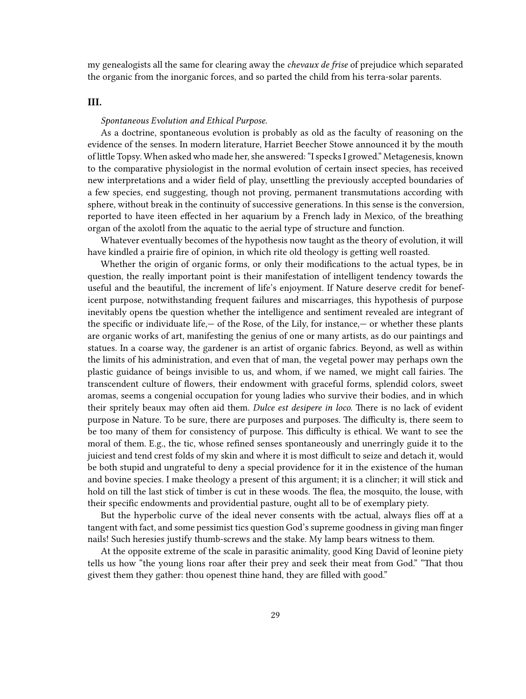my genealogists all the same for clearing away the *chevaux de frise* of prejudice which separated the organic from the inorganic forces, and so parted the child from his terra-solar parents.

#### <span id="page-28-0"></span>**III.**

#### *Spontaneous Evolution and Ethical Purpose.*

As a doctrine, spontaneous evolution is probably as old as the faculty of reasoning on the evidence of the senses. In modern literature, Harriet Beecher Stowe announced it by the mouth of little Topsy. When asked who made her, she answered: "I specks I growed." Metagenesis, known to the comparative physiologist in the normal evolution of certain insect species, has received new interpretations and a wider field of play, unsettling the previously accepted boundaries of a few species, end suggesting, though not proving, permanent transmutations according with sphere, without break in the continuity of successive generations. In this sense is the conversion, reported to have iteen effected in her aquarium by a French lady in Mexico, of the breathing organ of the axolotl from the aquatic to the aerial type of structure and function.

Whatever eventually becomes of the hypothesis now taught as the theory of evolution, it will have kindled a prairie fire of opinion, in which rite old theology is getting well roasted.

Whether the origin of organic forms, or only their modifications to the actual types, be in question, the really important point is their manifestation of intelligent tendency towards the useful and the beautiful, the increment of life's enjoyment. If Nature deserve credit for beneficent purpose, notwithstanding frequent failures and miscarriages, this hypothesis of purpose inevitably opens tbe question whether the intelligence and sentiment revealed are integrant of the specific or individuate life,— of the Rose, of the Lily, for instance,— or whether these plants are organic works of art, manifesting the genius of one or many artists, as do our paintings and statues. In a coarse way, the gardener is an artist of organic fabrics. Beyond, as well as within the limits of his administration, and even that of man, the vegetal power may perhaps own the plastic guidance of beings invisible to us, and whom, if we named, we might call fairies. The transcendent culture of flowers, their endowment with graceful forms, splendid colors, sweet aromas, seems a congenial occupation for young ladies who survive their bodies, and in which their spritely beaux may often aid them. *Dulce est desipere in loco*. There is no lack of evident purpose in Nature. To be sure, there are purposes and purposes. The difficulty is, there seem to be too many of them for consistency of purpose. This difficulty is ethical. We want to see the moral of them. E.g., the tic, whose refined senses spontaneously and unerringly guide it to the juiciest and tend crest folds of my skin and where it is most difficult to seize and detach it, would be both stupid and ungrateful to deny a special providence for it in the existence of the human and bovine species. I make theology a present of this argument; it is a clincher; it will stick and hold on till the last stick of timber is cut in these woods. The flea, the mosquito, the louse, with their specific endowments and providential pasture, ought all to be of exemplary piety.

But the hyperbolic curve of the ideal never consents with tbe actual, always flies off at a tangent with fact, and some pessimist tics question God's supreme goodness in giving man finger nails! Such heresies justify thumb-screws and the stake. My lamp bears witness to them.

At the opposite extreme of the scale in parasitic animality, good King David of leonine piety tells us how "the young lions roar after their prey and seek their meat from God." "That thou givest them they gather: thou openest thine hand, they are filled with good."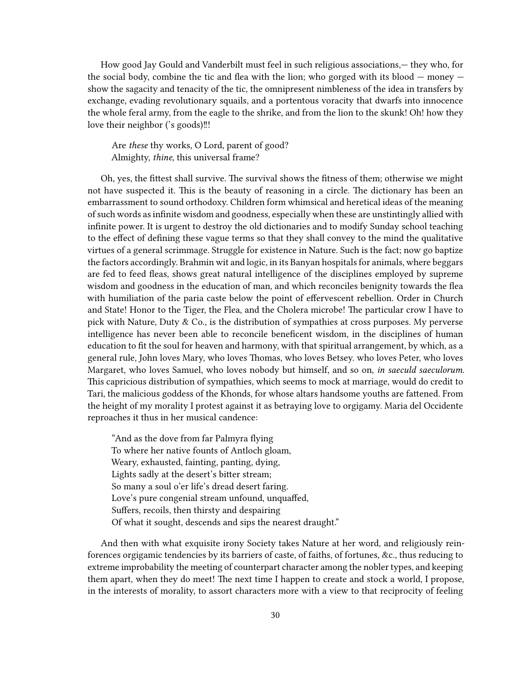How good Jay Gould and Vanderbilt must feel in such religious associations,— they who, for the social body, combine the tic and flea with the lion; who gorged with its blood  $-$  money  $$ show the sagacity and tenacity of the tic, the omnipresent nimbleness of the idea in transfers by exchange, evading revolutionary squails, and a portentous voracity that dwarfs into innocence the whole feral army, from the eagle to the shrike, and from the lion to the skunk! Oh! how they love their neighbor ('s goods)‼!

Are *these* thy works, O Lord, parent of good? Almighty, *thine*, this universal frame?

Oh, yes, the fittest shall survive. The survival shows the fitness of them; otherwise we might not have suspected it. This is the beauty of reasoning in a circle. The dictionary has been an embarrassment to sound orthodoxy. Children form whimsical and heretical ideas of the meaning of such words as infinite wisdom and goodness, especially when these are unstintingly allied with infinite power. It is urgent to destroy the old dictionaries and to modify Sunday school teaching to the effect of defining these vague terms so that they shall convey to the mind the qualitative virtues of a general scrimmage. Struggle for existence in Nature. Such is the fact; now go baptize the factors accordingly. Brahmin wit and logic, in its Banyan hospitals for animals, where beggars are fed to feed fleas, shows great natural intelligence of the disciplines employed by supreme wisdom and goodness in the education of man, and which reconciles benignity towards the flea with humiliation of the paria caste below the point of effervescent rebellion. Order in Church and State! Honor to the Tiger, the Flea, and the Cholera microbe! The particular crow I have to pick with Nature, Duty & Co., is the distribution of sympathies at cross purposes. My perverse intelligence has never been able to reconcile beneficent wisdom, in the disciplines of human education to fit the soul for heaven and harmony, with that spiritual arrangement, by which, as a general rule, John loves Mary, who loves Thomas, who loves Betsey. who loves Peter, who loves Margaret, who loves Samuel, who loves nobody but himself, and so on, *in saeculd saeculorum*. This capricious distribution of sympathies, which seems to mock at marriage, would do credit to Tari, the malicious goddess of the Khonds, for whose altars handsome youths are fattened. From the height of my morality I protest against it as betraying love to orgigamy. Maria del Occidente reproaches it thus in her musical candence:

"And as the dove from far Palmyra flying To where her native founts of Antloch gloam, Weary, exhausted, fainting, panting, dying, Lights sadly at the desert's bitter stream; So many a soul o'er life's dread desert faring. Love's pure congenial stream unfound, unquaffed, Suffers, recoils, then thirsty and despairing Of what it sought, descends and sips the nearest draught."

And then with what exquisite irony Society takes Nature at her word, and religiously reinforences orgigamic tendencies by its barriers of caste, of faiths, of fortunes, &c., thus reducing to extreme improbability the meeting of counterpart character among the nobler types, and keeping them apart, when they do meet! The next time I happen to create and stock a world, I propose, in the interests of morality, to assort characters more with a view to that reciprocity of feeling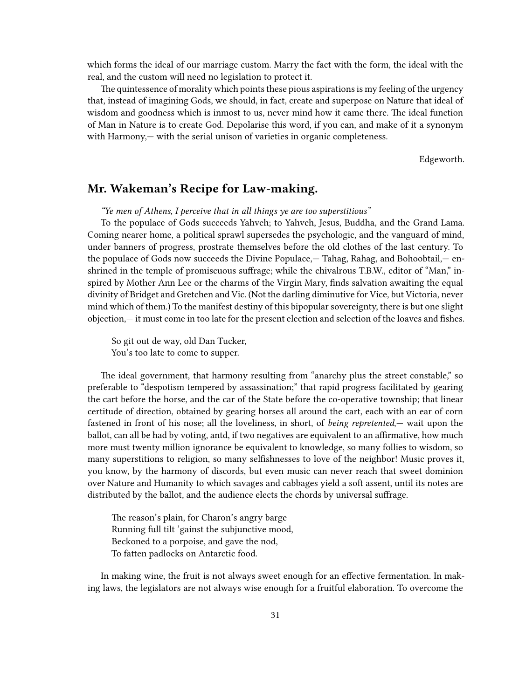which forms the ideal of our marriage custom. Marry the fact with the form, the ideal with the real, and the custom will need no legislation to protect it.

The quintessence of morality which points these pious aspirations is my feeling of the urgency that, instead of imagining Gods, we should, in fact, create and superpose on Nature that ideal of wisdom and goodness which is inmost to us, never mind how it came there. The ideal function of Man in Nature is to create God. Depolarise this word, if you can, and make of it a synonym with Harmony,— with the serial unison of varieties in organic completeness.

Edgeworth.

# <span id="page-30-0"></span>**Mr. Wakeman's Recipe for Law-making.**

*"Ye men of Athens, I perceive that in all things ye are too superstitious"*

To the populace of Gods succeeds Yahveh; to Yahveh, Jesus, Buddha, and the Grand Lama. Coming nearer home, a political sprawl supersedes the psychologic, and the vanguard of mind, under banners of progress, prostrate themselves before the old clothes of the last century. To the populace of Gods now succeeds the Divine Populace,— Tahag, Rahag, and Bohoobtail,— enshrined in the temple of promiscuous suffrage; while the chivalrous T.B.W., editor of "Man," inspired by Mother Ann Lee or the charms of the Virgin Mary, finds salvation awaiting the equal divinity of Bridget and Gretchen and Vic. (Not the darling diminutive for Vice, but Victoria, never mind which of them.) To the manifest destiny of this bipopular sovereignty, there is but one slight objection,— it must come in too late for the present election and selection of the loaves and fishes.

So git out de way, old Dan Tucker, You's too late to come to supper.

The ideal government, that harmony resulting from "anarchy plus the street constable," so preferable to "despotism tempered by assassination;" that rapid progress facilitated by gearing the cart before the horse, and the car of the State before the co-operative township; that linear certitude of direction, obtained by gearing horses all around the cart, each with an ear of corn fastened in front of his nose; all the loveliness, in short, of *being repretented*,— wait upon the ballot, can all be had by voting, antd, if two negatives are equivalent to an affirmative, how much more must twenty million ignorance be equivalent to knowledge, so many follies to wisdom, so many superstitions to religion, so many selfishnesses to love of the neighbor! Music proves it, you know, by the harmony of discords, but even music can never reach that sweet dominion over Nature and Humanity to which savages and cabbages yield a soft assent, until its notes are distributed by the ballot, and the audience elects the chords by universal suffrage.

The reason's plain, for Charon's angry barge Running full tilt 'gainst the subjunctive mood, Beckoned to a porpoise, and gave the nod, To fatten padlocks on Antarctic food.

In making wine, the fruit is not always sweet enough for an effective fermentation. In making laws, the legislators are not always wise enough for a fruitful elaboration. To overcome the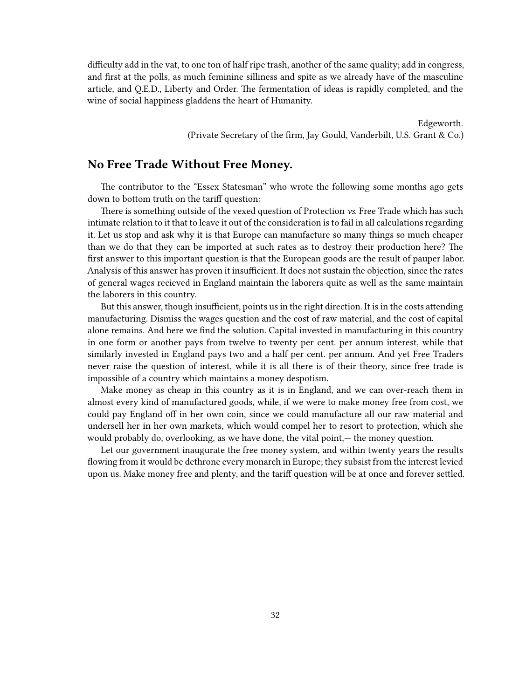difficulty add in the vat, to one ton of half ripe trash, another of the same quality; add in congress, and first at the polls, as much feminine silliness and spite as we already have of the masculine article, and Q.E.D., Liberty and Order. The fermentation of ideas is rapidly completed, and the wine of social happiness gladdens the heart of Humanity.

> Edgeworth. (Private Secretary of the firm, Jay Gould, Vanderbilt, U.S. Grant & Co.)

# <span id="page-31-0"></span>**No Free Trade Without Free Money.**

The contributor to the "Essex Statesman" who wrote the following some months ago gets down to bottom truth on the tariff question:

There is something outside of the vexed question of Protection *vs.* Free Trade which has such intimate relation to it that to leave it out of the consideration is to fail in all calculations regarding it. Let us stop and ask why it is that Europe can manufacture so many things so much cheaper than we do that they can be imported at such rates as to destroy their production here? The first answer to this important question is that the European goods are the result of pauper labor. Analysis of this answer has proven it insufficient. It does not sustain the objection, since the rates of general wages recieved in England maintain the laborers quite as well as the same maintain the laborers in this country.

But this answer, though insufficient, points us in the right direction. It is in the costs attending manufacturing. Dismiss the wages question and the cost of raw material, and the cost of capital alone remains. And here we find the solution. Capital invested in manufacturing in this country in one form or another pays from twelve to twenty per cent. per annum interest, while that similarly invested in England pays two and a half per cent. per annum. And yet Free Traders never raise the question of interest, while it is all there is of their theory, since free trade is impossible of a country which maintains a money despotism.

Make money as cheap in this country as it is in England, and we can over-reach them in almost every kind of manufactured goods, while, if we were to make money free from cost, we could pay England off in her own coin, since we could manufacture all our raw material and undersell her in her own markets, which would compel her to resort to protection, which she would probably do, overlooking, as we have done, the vital point,— the money question.

Let our government inaugurate the free money system, and within twenty years the results flowing from it would be dethrone every monarch in Europe; they subsist from the interest levied upon us. Make money free and plenty, and the tariff question will be at once and forever settled.